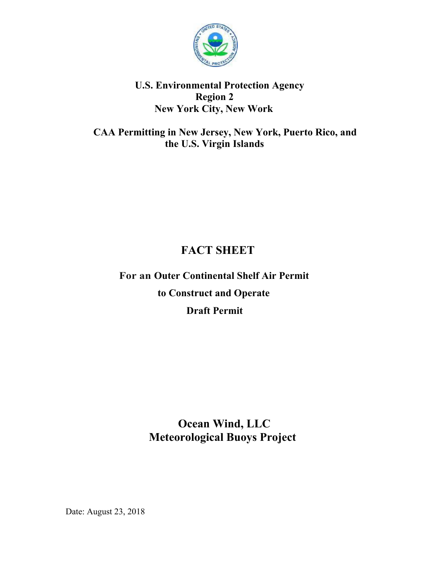

## **U.S. Environmental Protection Agency Region 2 New York City, New Work**

 **CAA Permitting in New Jersey, New York, Puerto Rico, and the U.S. Virgin Islands** 

# **FACT SHEET**

 **For an Outer Continental Shelf Air Permit to Construct and Operate Draft Permit** 

# **Ocean Wind, LLC Meteorological Buoys Project**

Date: August 23, 2018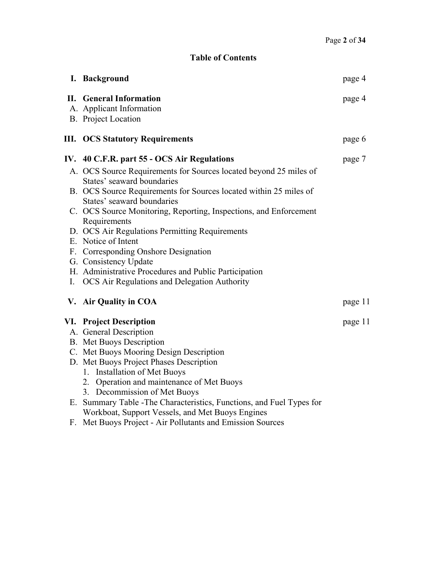## **Table of Contents**

|    | I. Background                                                                                   | page 4  |
|----|-------------------------------------------------------------------------------------------------|---------|
|    | <b>II.</b> General Information<br>A. Applicant Information<br>B. Project Location               | page 4  |
|    | <b>III. OCS Statutory Requirements</b>                                                          | page 6  |
|    | IV. 40 C.F.R. part 55 - OCS Air Regulations                                                     | page 7  |
|    | A. OCS Source Requirements for Sources located beyond 25 miles of<br>States' seaward boundaries |         |
|    | B. OCS Source Requirements for Sources located within 25 miles of<br>States' seaward boundaries |         |
|    | C. OCS Source Monitoring, Reporting, Inspections, and Enforcement<br>Requirements               |         |
|    | D. OCS Air Regulations Permitting Requirements                                                  |         |
|    | E. Notice of Intent                                                                             |         |
|    | F. Corresponding Onshore Designation                                                            |         |
|    | G. Consistency Update<br>H. Administrative Procedures and Public Participation                  |         |
| Ι. | <b>OCS</b> Air Regulations and Delegation Authority                                             |         |
|    | V. Air Quality in COA                                                                           | page 11 |
|    | <b>VI.</b> Project Description                                                                  | page 11 |
|    | A. General Description                                                                          |         |
|    | <b>B.</b> Met Buoys Description                                                                 |         |
|    | C. Met Buoys Mooring Design Description                                                         |         |
|    | D. Met Buoys Project Phases Description                                                         |         |
|    | 1. Installation of Met Buoys                                                                    |         |
|    | 2. Operation and maintenance of Met Buoys<br>3. Decommission of Met Buoys                       |         |
| E. | Summary Table - The Characteristics, Functions, and Fuel Types for                              |         |
|    | Workboat, Support Vessels, and Met Buoys Engines                                                |         |

F. Met Buoys Project - Air Pollutants and Emission Sources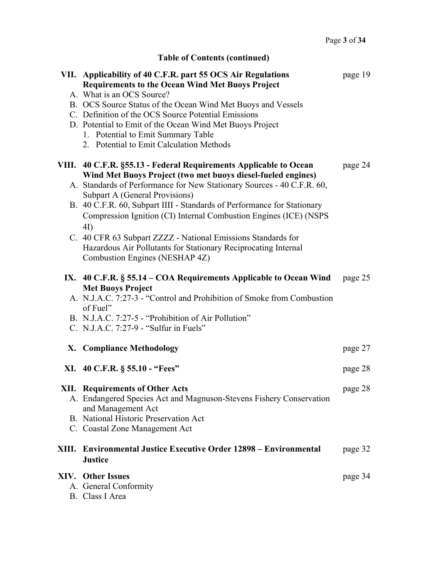| Page 3 of 34 |
|--------------|
|              |

# **Table of Contents (continued)**

| VII. Applicability of 40 C.F.R. part 55 OCS Air Regulations<br><b>Requirements to the Ocean Wind Met Buoys Project</b> | page 19 |
|------------------------------------------------------------------------------------------------------------------------|---------|
| A. What is an OCS Source?                                                                                              |         |
| B. OCS Source Status of the Ocean Wind Met Buoys and Vessels                                                           |         |
| C. Definition of the OCS Source Potential Emissions                                                                    |         |
| D. Potential to Emit of the Ocean Wind Met Buoys Project                                                               |         |
| 1. Potential to Emit Summary Table<br>2. Potential to Emit Calculation Methods                                         |         |
|                                                                                                                        |         |
| VIII. 40 C.F.R. §55.13 - Federal Requirements Applicable to Ocean                                                      | page 24 |
| Wind Met Buoys Project (two met buoys diesel-fueled engines)                                                           |         |
| A. Standards of Performance for New Stationary Sources - 40 C.F.R. 60,                                                 |         |
| Subpart A (General Provisions)<br>B. 40 C.F.R. 60, Subpart IIII - Standards of Performance for Stationary              |         |
| Compression Ignition (CI) Internal Combustion Engines (ICE) (NSPS                                                      |         |
| 4I)                                                                                                                    |         |
| C. 40 CFR 63 Subpart ZZZZ - National Emissions Standards for                                                           |         |
| Hazardous Air Pollutants for Stationary Reciprocating Internal                                                         |         |
| Combustion Engines (NESHAP 4Z)                                                                                         |         |
| IX. $40$ C.F.R. § 55.14 – COA Requirements Applicable to Ocean Wind                                                    | page 25 |
| <b>Met Buoys Project</b>                                                                                               |         |
| A. N.J.A.C. 7:27-3 - "Control and Prohibition of Smoke from Combustion                                                 |         |
| of Fuel"<br>B. N.J.A.C. 7:27-5 - "Prohibition of Air Pollution"                                                        |         |
| C. N.J.A.C. 7:27-9 - "Sulfur in Fuels"                                                                                 |         |
|                                                                                                                        |         |
| X. Compliance Methodology                                                                                              | page 27 |
| XI. 40 C.F.R. § 55.10 - "Fees"                                                                                         | page 28 |
|                                                                                                                        |         |
|                                                                                                                        |         |
| <b>XII.</b> Requirements of Other Acts                                                                                 | page 28 |
| A. Endangered Species Act and Magnuson-Stevens Fishery Conservation                                                    |         |
| and Management Act<br>B. National Historic Preservation Act                                                            |         |
| C. Coastal Zone Management Act                                                                                         |         |
|                                                                                                                        |         |
| XIII. Environmental Justice Executive Order 12898 – Environmental<br><b>Justice</b>                                    | page 32 |
| <b>XIV.</b> Other Issues                                                                                               |         |
| A. General Conformity                                                                                                  | page 34 |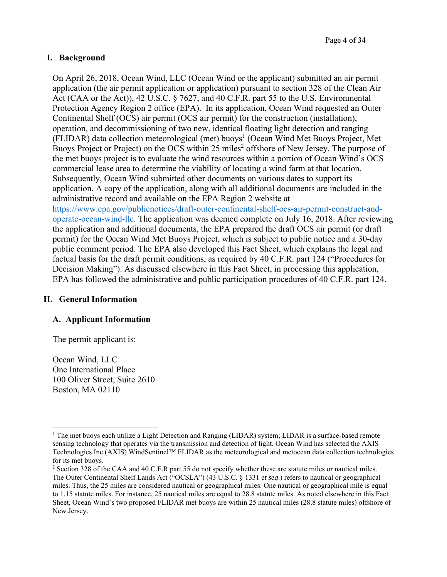#### **I. Background**

On April 26, 2018, Ocean Wind, LLC (Ocean Wind or the applicant) submitted an air permit application (the air permit application or application) pursuant to section 328 of the Clean Air Act (CAA or the Act)), 42 U.S.C. § 7627, and 40 C.F.R. part 55 to the U.S. Environmental Protection Agency Region 2 office (EPA). In its application, Ocean Wind requested an Outer Continental Shelf (OCS) air permit (OCS air permit) for the construction (installation), operation, and decommissioning of two new, identical floating light detection and ranging (FLIDAR) data collection meteorological (met) buoys<sup>1</sup> (Ocean Wind Met Buoys Project, Met Buoys Project or Project) on the OCS within 25 miles<sup>2</sup> offshore of New Jersey. The purpose of the met buoys project is to evaluate the wind resources within a portion of Ocean Wind's OCS commercial lease area to determine the viability of locating a wind farm at that location. Subsequently, Ocean Wind submitted other documents on various dates to support its application. A copy of the application, along with all additional documents are included in the administrative record and available on the EPA Region 2 website at https://www.epa.gov/publicnotices/draft-outer-continental-shelf-ocs-air-permit-construct-andoperate-ocean-wind-llc. The application was deemed complete on July 16, 2018. After reviewing the application and additional documents, the EPA prepared the draft OCS air permit (or draft permit) for the Ocean Wind Met Buoys Project, which is subject to public notice and a 30-day public comment period. The EPA also developed this Fact Sheet, which explains the legal and factual basis for the draft permit conditions, as required by 40 C.F.R. part 124 ("Procedures for Decision Making"). As discussed elsewhere in this Fact Sheet, in processing this application, EPA has followed the administrative and public participation procedures of 40 C.F.R. part 124.

#### **II. General Information**

#### **A. Applicant Information**

The permit applicant is:

Ocean Wind, LLC One International Place 100 Oliver Street, Suite 2610 Boston, MA 02110

<sup>&</sup>lt;sup>1</sup> The met buoys each utilize a Light Detection and Ranging (LIDAR) system; LIDAR is a surface-based remote sensing technology that operates via the transmission and detection of light. Ocean Wind has selected the AXIS Technologies Inc.(AXIS) WindSentinel™ FLIDAR as the meteorological and metocean data collection technologies for its met buoys.

<sup>&</sup>lt;sup>2</sup> Section 328 of the CAA and 40 C.F.R part 55 do not specify whether these are statute miles or nautical miles. The Outer Continental Shelf Lands Act ("OCSLA") (43 U.S.C. § 1331 *et seq*.) refers to nautical or geographical miles. Thus, the 25 miles are considered nautical or geographical miles. One nautical or geographical mile is equal to 1.15 statute miles. For instance, 25 nautical miles are equal to 28.8 statute miles. As noted elsewhere in this Fact Sheet, Ocean Wind's two proposed FLIDAR met buoys are within 25 nautical miles (28.8 statute miles) offshore of New Jersey.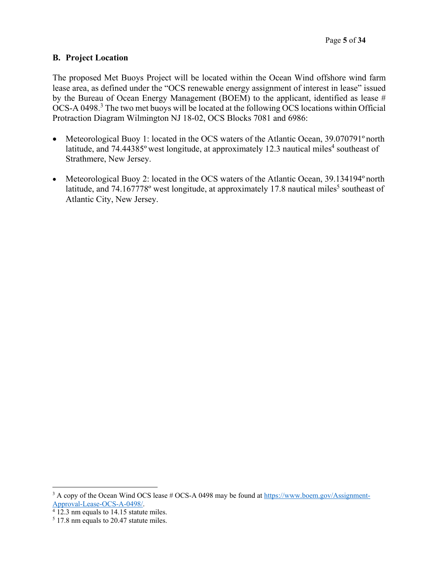#### **B. Project Location**

The proposed Met Buoys Project will be located within the Ocean Wind offshore wind farm lease area, as defined under the "OCS renewable energy assignment of interest in lease" issued by the Bureau of Ocean Energy Management (BOEM) to the applicant, identified as lease # OCS-A 0498.<sup>3</sup> The two met buoys will be located at the following OCS locations within Official Protraction Diagram Wilmington NJ 18-02, OCS Blocks 7081 and 6986:

- Meteorological Buoy 1: located in the OCS waters of the Atlantic Ocean, 39.070791° north latitude, and 74.44385° west longitude, at approximately 12.3 nautical miles<sup>4</sup> southeast of Strathmere, New Jersey.
- Meteorological Buoy 2: located in the OCS waters of the Atlantic Ocean, 39.134194° north latitude, and 74.167778° west longitude, at approximately 17.8 nautical miles<sup>5</sup> southeast of Atlantic City, New Jersey.

<sup>&</sup>lt;sup>3</sup> A copy of the Ocean Wind OCS lease # OCS-A 0498 may be found at https://www.boem.gov/Assignment-

Approval-Lease-OCS-A-0498/.<br><sup>4</sup> 12.3 nm equals to 14.15 statute miles.

<sup>&</sup>lt;sup>5</sup> 17.8 nm equals to 20.47 statute miles.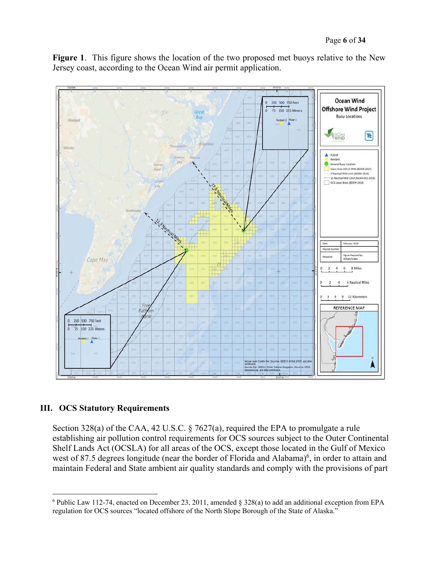**Figure 1**. This figure shows the location of the two proposed met buoys relative to the New Jersey coast, according to the Ocean Wind air permit application.



#### **III. OCS Statutory Requirements**

Section 328(a) of the CAA, 42 U.S.C. § 7627(a), required the EPA to promulgate a rule establishing air pollution control requirements for OCS sources subject to the Outer Continental Shelf Lands Act (OCSLA) for all areas of the OCS, except those located in the Gulf of Mexico west of 87.5 degrees longitude (near the border of Florida and Alabama)<sup>6</sup>, in order to attain and maintain Federal and State ambient air quality standards and comply with the provisions of part

<sup>6</sup> Public Law 112-74, enacted on December 23, 2011, amended § 328(a) to add an additional exception from EPA regulation for OCS sources "located offshore of the North Slope Borough of the State of Alaska."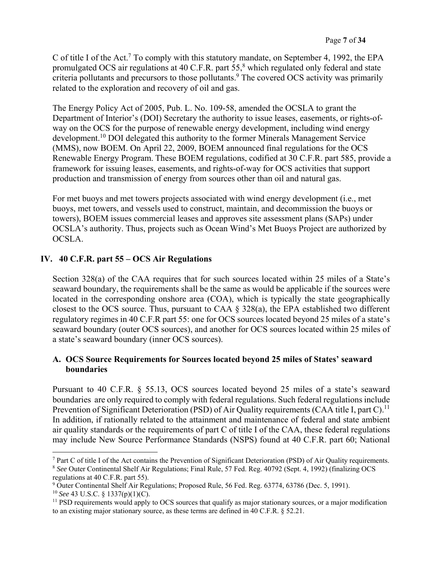C of title I of the Act.<sup>7</sup> To comply with this statutory mandate, on September 4, 1992, the EPA promulgated OCS air regulations at 40 C.F.R. part  $55<sup>8</sup>$  which regulated only federal and state criteria pollutants and precursors to those pollutants.<sup>9</sup> The covered OCS activity was primarily related to the exploration and recovery of oil and gas.

The Energy Policy Act of 2005, Pub. L. No. 109-58, amended the OCSLA to grant the Department of Interior's (DOI) Secretary the authority to issue leases, easements, or rights-ofway on the OCS for the purpose of renewable energy development, including wind energy development.10 DOI delegated this authority to the former Minerals Management Service (MMS), now BOEM. On April 22, 2009, BOEM announced final regulations for the OCS Renewable Energy Program. These BOEM regulations, codified at 30 C.F.R. part 585, provide a framework for issuing leases, easements, and rights-of-way for OCS activities that support production and transmission of energy from sources other than oil and natural gas.

For met buoys and met towers projects associated with wind energy development (i.e., met buoys, met towers, and vessels used to construct, maintain, and decommission the buoys or towers), BOEM issues commercial leases and approves site assessment plans (SAPs) under OCSLA's authority. Thus, projects such as Ocean Wind's Met Buoys Project are authorized by OCSLA.

## **IV. 40 C.F.R. part 55 – OCS Air Regulations**

Section 328(a) of the CAA requires that for such sources located within 25 miles of a State's seaward boundary, the requirements shall be the same as would be applicable if the sources were located in the corresponding onshore area (COA), which is typically the state geographically closest to the OCS source. Thus, pursuant to CAA § 328(a), the EPA established two different regulatory regimes in 40 C.F.R part 55: one for OCS sources located beyond 25 miles of a state's seaward boundary (outer OCS sources), and another for OCS sources located within 25 miles of a state's seaward boundary (inner OCS sources).

#### **A. OCS Source Requirements for Sources located beyond 25 miles of States' seaward boundaries**

Pursuant to 40 C.F.R. § 55.13, OCS sources located beyond 25 miles of a state's seaward boundaries are only required to comply with federal regulations. Such federal regulations include Prevention of Significant Deterioration (PSD) of Air Quality requirements (CAA title I, part C).<sup>11</sup> In addition, if rationally related to the attainment and maintenance of federal and state ambient air quality standards or the requirements of part C of title I of the CAA, these federal regulations may include New Source Performance Standards (NSPS) found at 40 C.F.R. part 60; National

<sup>7</sup> Part C of title I of the Act contains the Prevention of Significant Deterioration (PSD) of Air Quality requirements. <sup>8</sup> *See* Outer Continental Shelf Air Regulations; Final Rule, 57 Fed. Reg. 40792 (Sept. 4, 1992) (finalizing OCS regulations at 40 C.F.R. part 55).

<sup>9</sup> Outer Continental Shelf Air Regulations; Proposed Rule, 56 Fed. Reg. 63774, 63786 (Dec. 5, 1991).

<sup>10</sup> *See* 43 U.S.C. § 1337(p)(1)(C).

<sup>&</sup>lt;sup>11</sup> PSD requirements would apply to OCS sources that qualify as major stationary sources, or a major modification to an existing major stationary source, as these terms are defined in 40 C.F.R. § 52.21.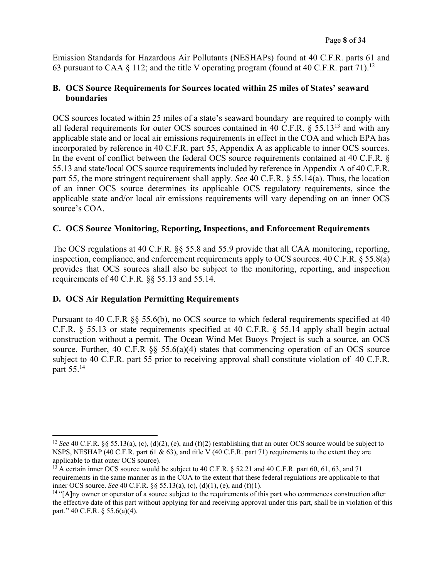Emission Standards for Hazardous Air Pollutants (NESHAPs) found at 40 C.F.R. parts 61 and 63 pursuant to CAA § 112; and the title V operating program (found at 40 C.F.R. part 71).<sup>12</sup>

#### **B. OCS Source Requirements for Sources located within 25 miles of States' seaward boundaries**

OCS sources located within 25 miles of a state's seaward boundary are required to comply with all federal requirements for outer OCS sources contained in 40 C.F.R.  $\S$  55.13<sup>13</sup> and with any applicable state and or local air emissions requirements in effect in the COA and which EPA has incorporated by reference in 40 C.F.R. part 55, Appendix A as applicable to inner OCS sources. In the event of conflict between the federal OCS source requirements contained at 40 C.F.R. § 55.13 and state/local OCS source requirements included by reference in Appendix A of 40 C.F.R. part 55, the more stringent requirement shall apply. *See* 40 C.F.R. § 55.14(a). Thus, the location of an inner OCS source determines its applicable OCS regulatory requirements, since the applicable state and/or local air emissions requirements will vary depending on an inner OCS source's COA.

#### **C. OCS Source Monitoring, Reporting, Inspections, and Enforcement Requirements**

The OCS regulations at 40 C.F.R. §§ 55.8 and 55.9 provide that all CAA monitoring, reporting, inspection, compliance, and enforcement requirements apply to OCS sources. 40 C.F.R. § 55.8(a) provides that OCS sources shall also be subject to the monitoring, reporting, and inspection requirements of 40 C.F.R. §§ 55.13 and 55.14.

## **D. OCS Air Regulation Permitting Requirements**

Pursuant to 40 C.F.R §§ 55.6(b), no OCS source to which federal requirements specified at 40 C.F.R. § 55.13 or state requirements specified at 40 C.F.R. § 55.14 apply shall begin actual construction without a permit. The Ocean Wind Met Buoys Project is such a source, an OCS source. Further, 40 C.F.R  $\S$  55.6(a)(4) states that commencing operation of an OCS source subject to 40 C.F.R. part 55 prior to receiving approval shall constitute violation of 40 C.F.R. part 55.14

<sup>&</sup>lt;sup>12</sup> *See* 40 C.F.R. §§ 55.13(a), (c), (d)(2), (e), and (f)(2) (establishing that an outer OCS source would be subject to NSPS, NESHAP (40 C.F.R. part 61 & 63), and title V (40 C.F.R. part 71) requirements to the extent they are applicable to that outer OCS source).

<sup>&</sup>lt;sup>13</sup> A certain inner OCS source would be subject to 40 C.F.R. § 52.21 and 40 C.F.R. part 60, 61, 63, and 71 requirements in the same manner as in the COA to the extent that these federal regulations are applicable to that inner OCS source. *See* 40 C.F.R. §§ 55.13(a), (c), (d)(1), (e), and (f)(1).

<sup>&</sup>lt;sup>14</sup> "[A]ny owner or operator of a source subject to the requirements of this part who commences construction after the effective date of this part without applying for and receiving approval under this part, shall be in violation of this part." 40 C.F.R. § 55.6(a)(4).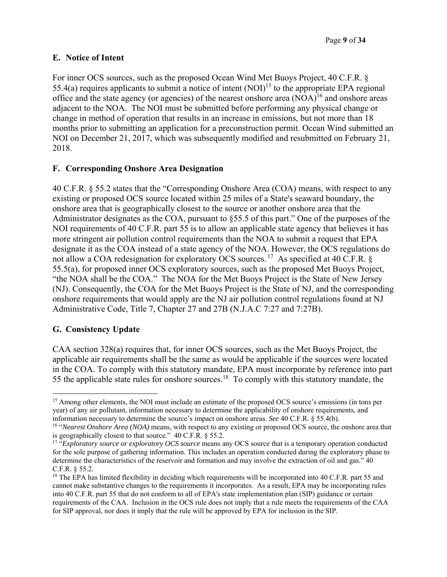## **E. Notice of Intent**

For inner OCS sources, such as the proposed Ocean Wind Met Buoys Project, 40 C.F.R. § 55.4(a) requires applicants to submit a notice of intent  $(NOI)^{15}$  to the appropriate EPA regional office and the state agency (or agencies) of the nearest onshore area  $(NOA)^{16}$  and onshore areas adjacent to the NOA. The NOI must be submitted before performing any physical change or change in method of operation that results in an increase in emissions, but not more than 18 months prior to submitting an application for a preconstruction permit. Ocean Wind submitted an NOI on December 21, 2017, which was subsequently modified and resubmitted on February 21, 2018.

#### **F. Corresponding Onshore Area Designation**

40 C.F.R. § 55.2 states that the "Corresponding Onshore Area (COA) means, with respect to any existing or proposed OCS source located within 25 miles of a State's seaward boundary, the onshore area that is geographically closest to the source or another onshore area that the Administrator designates as the COA, pursuant to §55.5 of this part." One of the purposes of the NOI requirements of 40 C.F.R. part 55 is to allow an applicable state agency that believes it has more stringent air pollution control requirements than the NOA to submit a request that EPA designate it as the COA instead of a state agency of the NOA. However, the OCS regulations do not allow a COA redesignation for exploratory OCS sources.<sup>17</sup> As specified at 40 C.F.R. § 55.5(a), for proposed inner OCS exploratory sources, such as the proposed Met Buoys Project, "the NOA shall be the COA." The NOA for the Met Buoys Project is the State of New Jersey (NJ). Consequently, the COA for the Met Buoys Project is the State of NJ, and the corresponding onshore requirements that would apply are the NJ air pollution control regulations found at NJ Administrative Code, Title 7, Chapter 27 and 27B (N.J.A.C 7:27 and 7:27B).

## **G. Consistency Update**

CAA section 328(a) requires that, for inner OCS sources, such as the Met Buoys Project, the applicable air requirements shall be the same as would be applicable if the sources were located in the COA. To comply with this statutory mandate, EPA must incorporate by reference into part 55 the applicable state rules for onshore sources.18 To comply with this statutory mandate, the

 <sup>15</sup> Among other elements, the NOI must include an estimate of the proposed OCS source's emissions (in tons per year) of any air pollutant, information necessary to determine the applicability of onshore requirements, and information necessary to determine the source's impact on onshore areas. *See* 40 C.F.R. § 55.4(b).

<sup>&</sup>lt;sup>16</sup> "*Nearest Onshore Area (NOA)* means, with respect to any existing or proposed OCS source, the onshore area that is geographically closest to that source." 40 C.F.R. § 55.2.

<sup>&</sup>lt;sup>17</sup> "*Exploratory source or exploratory OCS source* means any OCS source that is a temporary operation conducted for the sole purpose of gathering information. This includes an operation conducted during the exploratory phase to determine the characteristics of the reservoir and formation and may involve the extraction of oil and gas." 40 C.F.R. § 55.2.

<sup>&</sup>lt;sup>18</sup> The EPA has limited flexibility in deciding which requirements will be incorporated into 40 C.F.R. part 55 and cannot make substantive changes to the requirements it incorporates. As a result, EPA may be incorporating rules into 40 C.F.R. part 55 that do not conform to all of EPA's state implementation plan (SIP) guidance or certain requirements of the CAA. Inclusion in the OCS rule does not imply that a rule meets the requirements of the CAA for SIP approval, nor does it imply that the rule will be approved by EPA for inclusion in the SIP.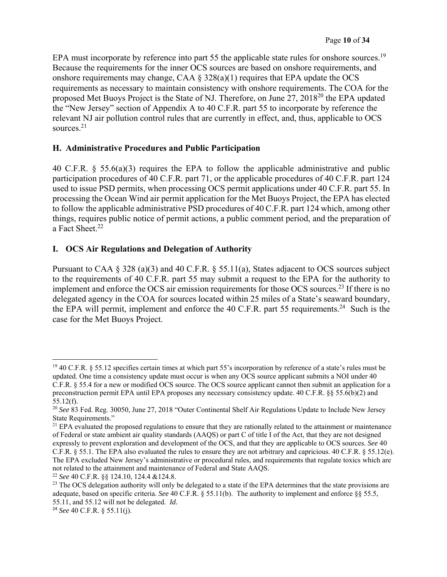EPA must incorporate by reference into part 55 the applicable state rules for onshore sources.<sup>19</sup> Because the requirements for the inner OCS sources are based on onshore requirements, and onshore requirements may change, CAA  $\S$  328(a)(1) requires that EPA update the OCS requirements as necessary to maintain consistency with onshore requirements. The COA for the proposed Met Buoys Project is the State of NJ. Therefore, on June 27, 201820 the EPA updated the "New Jersey" section of Appendix A to 40 C.F.R. part 55 to incorporate by reference the relevant NJ air pollution control rules that are currently in effect, and, thus, applicable to OCS sources.<sup>21</sup>

## **H. Administrative Procedures and Public Participation**

40 C.F.R. § 55.6(a)(3) requires the EPA to follow the applicable administrative and public participation procedures of 40 C.F.R. part 71, or the applicable procedures of 40 C.F.R. part 124 used to issue PSD permits, when processing OCS permit applications under 40 C.F.R. part 55. In processing the Ocean Wind air permit application for the Met Buoys Project, the EPA has elected to follow the applicable administrative PSD procedures of 40 C.F.R. part 124 which, among other things, requires public notice of permit actions, a public comment period, and the preparation of a Fact Sheet.<sup>22</sup>

## **I. OCS Air Regulations and Delegation of Authority**

Pursuant to CAA § 328 (a)(3) and 40 C.F.R. § 55.11(a), States adjacent to OCS sources subject to the requirements of 40 C.F.R. part 55 may submit a request to the EPA for the authority to implement and enforce the OCS air emission requirements for those OCS sources.<sup>23</sup> If there is no delegated agency in the COA for sources located within 25 miles of a State's seaward boundary, the EPA will permit, implement and enforce the 40 C.F.R. part 55 requirements.<sup>24</sup> Such is the case for the Met Buoys Project.

 $19$  40 C.F.R. § 55.12 specifies certain times at which part 55's incorporation by reference of a state's rules must be updated. One time a consistency update must occur is when any OCS source applicant submits a NOI under 40 C.F.R. § 55.4 for a new or modified OCS source. The OCS source applicant cannot then submit an application for a preconstruction permit EPA until EPA proposes any necessary consistency update. 40 C.F.R. §§ 55.6(b)(2) and 55.12(f).

<sup>20</sup> *See* 83 Fed. Reg. 30050, June 27, 2018 "Outer Continental Shelf Air Regulations Update to Include New Jersey State Requirements."

<sup>&</sup>lt;sup>21</sup> EPA evaluated the proposed regulations to ensure that they are rationally related to the attainment or maintenance of Federal or state ambient air quality standards (AAQS) or part C of title I of the Act, that they are not designed expressly to prevent exploration and development of the OCS, and that they are applicable to OCS sources. *See* 40 C.F.R. § 55.1. The EPA also evaluated the rules to ensure they are not arbitrary and capricious. 40 C.F.R. § 55.12(e). The EPA excluded New Jersey's administrative or procedural rules, and requirements that regulate toxics which are not related to the attainment and maintenance of Federal and State AAQS.

<sup>22</sup> *See* 40 C.F.R. §§ 124.10, 124.4 &124.8.

<sup>&</sup>lt;sup>23</sup> The OCS delegation authority will only be delegated to a state if the EPA determines that the state provisions are adequate, based on specific criteria. *See* 40 C.F.R. § 55.11(b). The authority to implement and enforce §§ 55.5, 55.11, and 55.12 will not be delegated. *Id.*

<sup>24</sup> *See* 40 C.F.R. § 55.11(j).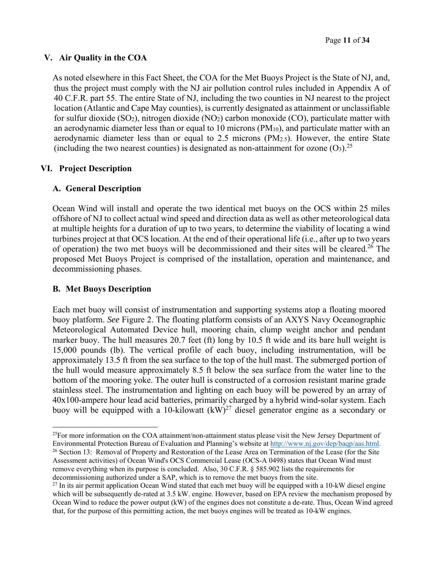#### **V. Air Quality in the COA**

As noted elsewhere in this Fact Sheet, the COA for the Met Buoys Project is the State of NJ, and, thus the project must comply with the NJ air pollution control rules included in Appendix A of 40 C.F.R. part 55. The entire State of NJ, including the two counties in NJ nearest to the project location (Atlantic and Cape May counties), is currently designated as attainment or unclassifiable for sulfur dioxide  $(SO_2)$ , nitrogen dioxide  $(NO_2)$  carbon monoxide  $(CO)$ , particulate matter with an aerodynamic diameter less than or equal to 10 microns (PM10), and particulate matter with an aerodynamic diameter less than or equal to 2.5 microns  $(PM<sub>2.5</sub>)$ . However, the entire State (including the two nearest counties) is designated as non-attainment for ozone  $(O_3)$ .<sup>25</sup>

#### **VI. Project Description**

#### **A. General Description**

Ocean Wind will install and operate the two identical met buoys on the OCS within 25 miles offshore of NJ to collect actual wind speed and direction data as well as other meteorological data at multiple heights for a duration of up to two years, to determine the viability of locating a wind turbines project at that OCS location. At the end of their operational life (i.e., after up to two years of operation) the two met buoys will be decommissioned and their sites will be cleared.26 The proposed Met Buoys Project is comprised of the installation, operation and maintenance, and decommissioning phases.

#### **B. Met Buoys Description**

Each met buoy will consist of instrumentation and supporting systems atop a floating moored buoy platform. *See* Figure 2. The floating platform consists of an AXYS Navy Oceanographic Meteorological Automated Device hull, mooring chain, clump weight anchor and pendant marker buoy. The hull measures 20.7 feet (ft) long by 10.5 ft wide and its bare hull weight is 15,000 pounds (lb). The vertical profile of each buoy, including instrumentation, will be approximately 13.5 ft from the sea surface to the top of the hull mast. The submerged portion of the hull would measure approximately 8.5 ft below the sea surface from the water line to the bottom of the mooring yoke. The outer hull is constructed of a corrosion resistant marine grade stainless steel. The instrumentation and lighting on each buoy will be powered by an array of 40x100-ampere hour lead acid batteries, primarily charged by a hybrid wind-solar system. Each buoy will be equipped with a 10-kilowatt  $(kW)^{27}$  diesel generator engine as a secondary or

 $25$ For more information on the COA attainment/non-attainment status please visit the New Jersey Department of Environmental Protection Bureau of Evaluation and Planning's website at http://www.nj.gov/dep/baqp/aas.html. <sup>26</sup> Section 13: Removal of Property and Restoration of the Lease Area on Termination of the Lease (for the Site Assessment activities) of Ocean Wind's OCS Commercial Lease (OCS-A 0498) states that Ocean Wind must remove everything when its purpose is concluded. Also, 30 C.F.R. § 585.902 lists the requirements for decommissioning authorized under a SAP, which is to remove the met buoys from the site.

 $^{27}$  In its air permit application Ocean Wind stated that each met buoy will be equipped with a 10-kW diesel engine which will be subsequently de-rated at 3.5 kW. engine. However, based on EPA review the mechanism proposed by Ocean Wind to reduce the power output (kW) of the engines does not constitute a de-rate. Thus, Ocean Wind agreed that, for the purpose of this permitting action, the met buoys engines will be treated as 10-kW engines.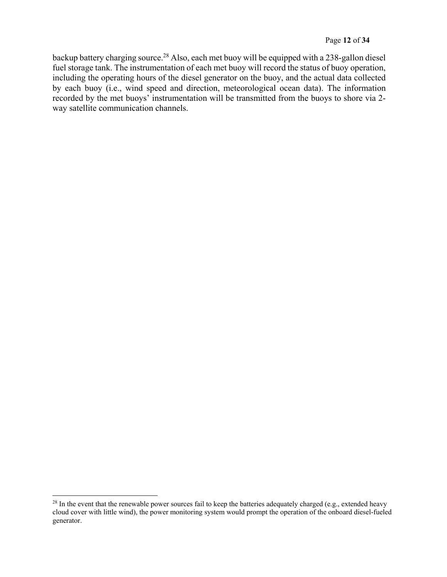backup battery charging source.28 Also, each met buoy will be equipped with a 238-gallon diesel fuel storage tank. The instrumentation of each met buoy will record the status of buoy operation, including the operating hours of the diesel generator on the buoy, and the actual data collected by each buoy (i.e., wind speed and direction, meteorological ocean data). The information recorded by the met buoys' instrumentation will be transmitted from the buoys to shore via 2 way satellite communication channels.

 $28$  In the event that the renewable power sources fail to keep the batteries adequately charged (e.g., extended heavy cloud cover with little wind), the power monitoring system would prompt the operation of the onboard diesel-fueled generator.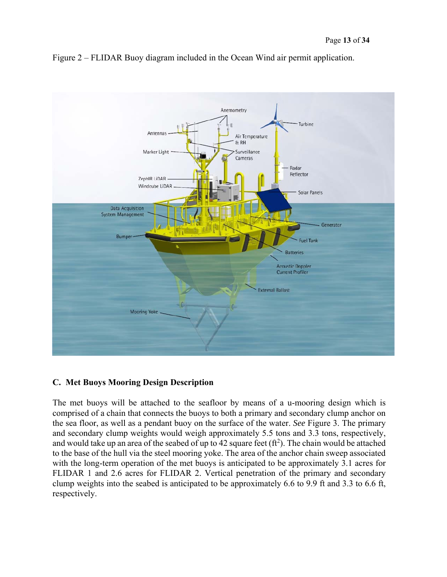

Figure 2 – FLIDAR Buoy diagram included in the Ocean Wind air permit application.

## **C. Met Buoys Mooring Design Description**

The met buoys will be attached to the seafloor by means of a u-mooring design which is comprised of a chain that connects the buoys to both a primary and secondary clump anchor on the sea floor, as well as a pendant buoy on the surface of the water. *See* Figure 3. The primary and secondary clump weights would weigh approximately 5.5 tons and 3.3 tons, respectively, and would take up an area of the seabed of up to 42 square feet  $(\text{ft}^2)$ . The chain would be attached to the base of the hull via the steel mooring yoke. The area of the anchor chain sweep associated with the long-term operation of the met buoys is anticipated to be approximately 3.1 acres for FLIDAR 1 and 2.6 acres for FLIDAR 2. Vertical penetration of the primary and secondary clump weights into the seabed is anticipated to be approximately 6.6 to 9.9 ft and 3.3 to 6.6 ft, respectively.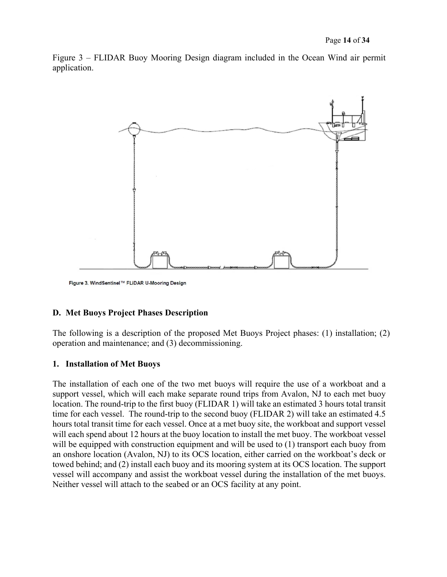Figure 3 – FLIDAR Buoy Mooring Design diagram included in the Ocean Wind air permit application.



Figure 3. WindSentinel™ FLiDAR U-Mooring Design

#### **D. Met Buoys Project Phases Description**

The following is a description of the proposed Met Buoys Project phases: (1) installation; (2) operation and maintenance; and (3) decommissioning.

#### **1. Installation of Met Buoys**

The installation of each one of the two met buoys will require the use of a workboat and a support vessel, which will each make separate round trips from Avalon, NJ to each met buoy location. The round-trip to the first buoy (FLIDAR 1) will take an estimated 3 hours total transit time for each vessel. The round-trip to the second buoy (FLIDAR 2) will take an estimated 4.5 hours total transit time for each vessel. Once at a met buoy site, the workboat and support vessel will each spend about 12 hours at the buoy location to install the met buoy. The workboat vessel will be equipped with construction equipment and will be used to (1) transport each buoy from an onshore location (Avalon, NJ) to its OCS location, either carried on the workboat's deck or towed behind; and (2) install each buoy and its mooring system at its OCS location. The support vessel will accompany and assist the workboat vessel during the installation of the met buoys. Neither vessel will attach to the seabed or an OCS facility at any point.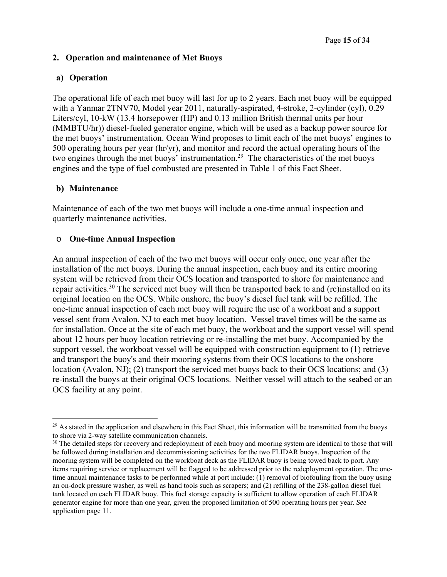#### **2. Operation and maintenance of Met Buoys**

#### **a) Operation**

The operational life of each met buoy will last for up to 2 years. Each met buoy will be equipped with a Yanmar 2TNV70, Model year 2011, naturally-aspirated, 4-stroke, 2-cylinder (cyl), 0.29 Liters/cyl, 10-kW (13.4 horsepower (HP) and 0.13 million British thermal units per hour (MMBTU/hr)) diesel-fueled generator engine, which will be used as a backup power source for the met buoys' instrumentation. Ocean Wind proposes to limit each of the met buoys' engines to 500 operating hours per year (hr/yr), and monitor and record the actual operating hours of the two engines through the met buoys' instrumentation.29 The characteristics of the met buoys engines and the type of fuel combusted are presented in Table 1 of this Fact Sheet.

#### **b) Maintenance**

Maintenance of each of the two met buoys will include a one-time annual inspection and quarterly maintenance activities.

#### o **One-time Annual Inspection**

An annual inspection of each of the two met buoys will occur only once, one year after the installation of the met buoys. During the annual inspection, each buoy and its entire mooring system will be retrieved from their OCS location and transported to shore for maintenance and repair activities.30 The serviced met buoy will then be transported back to and (re)installed on its original location on the OCS. While onshore, the buoy's diesel fuel tank will be refilled. The one-time annual inspection of each met buoy will require the use of a workboat and a support vessel sent from Avalon, NJ to each met buoy location. Vessel travel times will be the same as for installation. Once at the site of each met buoy, the workboat and the support vessel will spend about 12 hours per buoy location retrieving or re-installing the met buoy. Accompanied by the support vessel, the workboat vessel will be equipped with construction equipment to (1) retrieve and transport the buoy's and their mooring systems from their OCS locations to the onshore location (Avalon, NJ); (2) transport the serviced met buoys back to their OCS locations; and (3) re-install the buoys at their original OCS locations. Neither vessel will attach to the seabed or an OCS facility at any point.

<sup>&</sup>lt;sup>29</sup> As stated in the application and elsewhere in this Fact Sheet, this information will be transmitted from the buoys to shore via 2-way satellite communication channels.

<sup>&</sup>lt;sup>30</sup> The detailed steps for recovery and redeployment of each buoy and mooring system are identical to those that will be followed during installation and decommissioning activities for the two FLIDAR buoys. Inspection of the mooring system will be completed on the workboat deck as the FLIDAR buoy is being towed back to port. Any items requiring service or replacement will be flagged to be addressed prior to the redeployment operation. The onetime annual maintenance tasks to be performed while at port include: (1) removal of biofouling from the buoy using an on-dock pressure washer, as well as hand tools such as scrapers; and (2) refilling of the 238-gallon diesel fuel tank located on each FLIDAR buoy. This fuel storage capacity is sufficient to allow operation of each FLIDAR generator engine for more than one year, given the proposed limitation of 500 operating hours per year. *See* application page 11.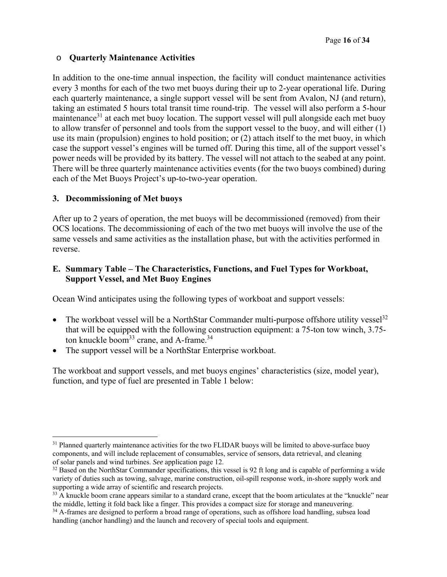#### o **Quarterly Maintenance Activities**

In addition to the one-time annual inspection, the facility will conduct maintenance activities every 3 months for each of the two met buoys during their up to 2-year operational life. During each quarterly maintenance, a single support vessel will be sent from Avalon, NJ (and return), taking an estimated 5 hours total transit time round-trip. The vessel will also perform a 5-hour maintenance<sup>31</sup> at each met buoy location. The support vessel will pull alongside each met buoy to allow transfer of personnel and tools from the support vessel to the buoy, and will either (1) use its main (propulsion) engines to hold position; or (2) attach itself to the met buoy, in which case the support vessel's engines will be turned off. During this time, all of the support vessel's power needs will be provided by its battery. The vessel will not attach to the seabed at any point. There will be three quarterly maintenance activities events (for the two buoys combined) during each of the Met Buoys Project's up-to-two-year operation.

## **3. Decommissioning of Met buoys**

After up to 2 years of operation, the met buoys will be decommissioned (removed) from their OCS locations. The decommissioning of each of the two met buoys will involve the use of the same vessels and same activities as the installation phase, but with the activities performed in reverse.

## **E. Summary Table – The Characteristics, Functions, and Fuel Types for Workboat, Support Vessel, and Met Buoy Engines**

Ocean Wind anticipates using the following types of workboat and support vessels:

- The workboat vessel will be a NorthStar Commander multi-purpose offshore utility vessel<sup>32</sup> that will be equipped with the following construction equipment: a 75-ton tow winch, 3.75 ton knuckle boom<sup>33</sup> crane, and A-frame.<sup>34</sup>
- The support vessel will be a NorthStar Enterprise workboat.

The workboat and support vessels, and met buoys engines' characteristics (size, model year), function, and type of fuel are presented in Table 1 below:

 <sup>31</sup> Planned quarterly maintenance activities for the two FLIDAR buoys will be limited to above-surface buoy components, and will include replacement of consumables, service of sensors, data retrieval, and cleaning of solar panels and wind turbines. *See* application page 12.

<sup>&</sup>lt;sup>32</sup> Based on the NorthStar Commander specifications, this vessel is 92 ft long and is capable of performing a wide variety of duties such as towing, salvage, marine construction, oil-spill response work, in-shore supply work and supporting a wide array of scientific and research projects.

<sup>&</sup>lt;sup>33</sup> A knuckle boom crane appears similar to a standard crane, except that the boom articulates at the "knuckle" near the middle, letting it fold back like a finger. This provides a compact size for storage and maneuvering.

<sup>&</sup>lt;sup>34</sup> A-frames are designed to perform a broad range of operations, such as offshore load handling, subsea load handling (anchor handling) and the launch and recovery of special tools and equipment.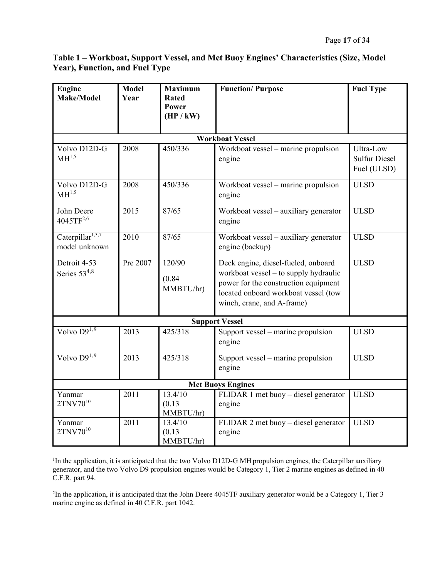## **Table 1 – Workboat, Support Vessel, and Met Buoy Engines' Characteristics (Size, Model Year), Function, and Fuel Type**

| <b>Engine</b><br><b>Make/Model</b>            | <b>Model</b><br>Year   | <b>Maximum</b><br><b>Rated</b><br>Power<br>(HP / kW) | <b>Function/Purpose</b>                                                                                                                                                                    | <b>Fuel Type</b>                                 |  |  |  |  |  |  |
|-----------------------------------------------|------------------------|------------------------------------------------------|--------------------------------------------------------------------------------------------------------------------------------------------------------------------------------------------|--------------------------------------------------|--|--|--|--|--|--|
|                                               | <b>Workboat Vessel</b> |                                                      |                                                                                                                                                                                            |                                                  |  |  |  |  |  |  |
| Volvo D12D-G<br>$\mathrm{MH}^{1,5}$           | 2008                   | 450/336                                              | Workboat vessel – marine propulsion<br>engine                                                                                                                                              | Ultra-Low<br><b>Sulfur Diesel</b><br>Fuel (ULSD) |  |  |  |  |  |  |
| Volvo D12D-G<br>MH <sup>1,5</sup>             | 2008                   | 450/336                                              | Workboat vessel - marine propulsion<br>engine                                                                                                                                              | <b>ULSD</b>                                      |  |  |  |  |  |  |
| John Deere<br>$4045TF^{2,6}$                  | 2015                   | 87/65                                                | Workboat vessel – auxiliary generator<br>engine                                                                                                                                            | <b>ULSD</b>                                      |  |  |  |  |  |  |
| Caterpillar <sup>1,3,7</sup><br>model unknown | 2010                   | 87/65                                                | Workboat vessel - auxiliary generator<br>engine (backup)                                                                                                                                   | <b>ULSD</b>                                      |  |  |  |  |  |  |
| Detroit 4-53<br>Series $53^{4,8}$             | Pre 2007               | 120/90<br>(0.84)<br>MMBTU/hr)                        | Deck engine, diesel-fueled, onboard<br>workboat vessel – to supply hydraulic<br>power for the construction equipment<br>located onboard workboat vessel (tow<br>winch, crane, and A-frame) | <b>ULSD</b>                                      |  |  |  |  |  |  |
| <b>Support Vessel</b>                         |                        |                                                      |                                                                                                                                                                                            |                                                  |  |  |  |  |  |  |
| Volvo $D9^{1,9}$                              | 2013                   | 425/318                                              | Support vessel – marine propulsion<br>engine                                                                                                                                               | <b>ULSD</b>                                      |  |  |  |  |  |  |
| Volvo $D9^{1,9}$                              | 2013                   | 425/318                                              | Support vessel – marine propulsion<br>engine                                                                                                                                               | <b>ULSD</b>                                      |  |  |  |  |  |  |
| <b>Met Buoys Engines</b>                      |                        |                                                      |                                                                                                                                                                                            |                                                  |  |  |  |  |  |  |
| Yanmar<br>$2TNV70^{10}$                       | 2011                   | 13.4/10<br>(0.13)<br>MMBTU/hr)                       | FLIDAR 1 met buoy - diesel generator<br>engine                                                                                                                                             | <b>ULSD</b>                                      |  |  |  |  |  |  |
| Yanmar<br>$2TNV70^{10}$                       | 2011                   | 13.4/10<br>(0.13)<br>MMBTU/hr)                       | FLIDAR 2 met buoy – diesel generator<br>engine                                                                                                                                             | <b>ULSD</b>                                      |  |  |  |  |  |  |

<sup>1</sup>In the application, it is anticipated that the two Volvo D12D-G MH propulsion engines, the Caterpillar auxiliary generator, and the two Volvo D9 propulsion engines would be Category 1, Tier 2 marine engines as defined in 40 C.F.R. part 94.

2 In the application, it is anticipated that the John Deere 4045TF auxiliary generator would be a Category 1, Tier 3 marine engine as defined in 40 C.F.R. part 1042.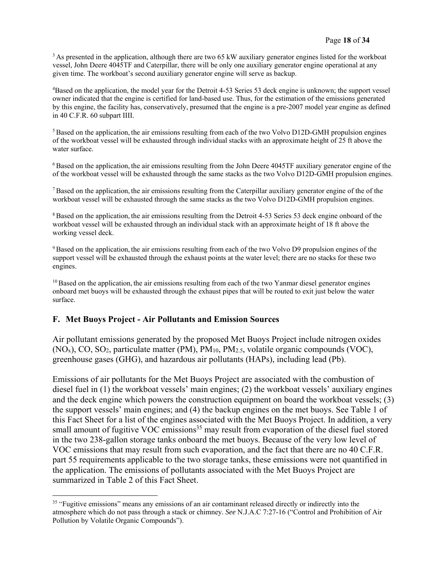<sup>3</sup> As presented in the application, although there are two 65 kW auxiliary generator engines listed for the workboat vessel, John Deere 4045TF and Caterpillar, there will be only one auxiliary generator engine operational at any given time. The workboat's second auxiliary generator engine will serve as backup.

4 Based on the application, the model year for the Detroit 4-53 Series 53 deck engine is unknown; the support vessel owner indicated that the engine is certified for land-based use. Thus, for the estimation of the emissions generated by this engine, the facility has, conservatively, presumed that the engine is a pre-2007 model year engine as defined in 40 C.F.R. 60 subpart IIII.

5 Based on the application, the air emissions resulting from each of the two Volvo D12D-GMH propulsion engines of the workboat vessel will be exhausted through individual stacks with an approximate height of 25 ft above the water surface.

6 Based on the application, the air emissions resulting from the John Deere 4045TF auxiliary generator engine of the of the workboat vessel will be exhausted through the same stacks as the two Volvo D12D-GMH propulsion engines.

7 Based on the application, the air emissions resulting from the Caterpillar auxiliary generator engine of the of the workboat vessel will be exhausted through the same stacks as the two Volvo D12D-GMH propulsion engines.

<sup>8</sup> Based on the application, the air emissions resulting from the Detroit 4-53 Series 53 deck engine onboard of the workboat vessel will be exhausted through an individual stack with an approximate height of 18 ft above the working vessel deck.

<sup>9</sup> Based on the application, the air emissions resulting from each of the two Volvo D9 propulsion engines of the support vessel will be exhausted through the exhaust points at the water level; there are no stacks for these two engines.

<sup>10</sup> Based on the application, the air emissions resulting from each of the two Yanmar diesel generator engines onboard met buoys will be exhausted through the exhaust pipes that will be routed to exit just below the water surface.

#### **F. Met Buoys Project - Air Pollutants and Emission Sources**

Air pollutant emissions generated by the proposed Met Buoys Project include nitrogen oxides  $(NO<sub>x</sub>)$ , CO, SO<sub>2</sub>, particulate matter (PM), PM<sub>10</sub>, PM<sub>2.5</sub>, volatile organic compounds (VOC), greenhouse gases (GHG), and hazardous air pollutants (HAPs), including lead (Pb).

Emissions of air pollutants for the Met Buoys Project are associated with the combustion of diesel fuel in (1) the workboat vessels' main engines; (2) the workboat vessels' auxiliary engines and the deck engine which powers the construction equipment on board the workboat vessels; (3) the support vessels' main engines; and (4) the backup engines on the met buoys. See Table 1 of this Fact Sheet for a list of the engines associated with the Met Buoys Project. In addition, a very small amount of fugitive VOC emissions<sup>35</sup> may result from evaporation of the diesel fuel stored in the two 238-gallon storage tanks onboard the met buoys. Because of the very low level of VOC emissions that may result from such evaporation, and the fact that there are no 40 C.F.R. part 55 requirements applicable to the two storage tanks, these emissions were not quantified in the application. The emissions of pollutants associated with the Met Buoys Project are summarized in Table 2 of this Fact Sheet.

 <sup>35</sup> "Fugitive emissions" means any emissions of an air contaminant released directly or indirectly into the atmosphere which do not pass through a stack or chimney. *See* N.J.A.C 7:27-16 ("Control and Prohibition of Air Pollution by Volatile Organic Compounds").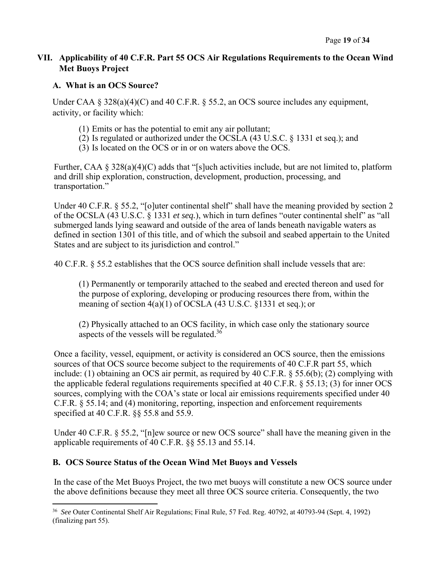## **VII. Applicability of 40 C.F.R. Part 55 OCS Air Regulations Requirements to the Ocean Wind Met Buoys Project**

## **A. What is an OCS Source?**

Under CAA  $\S 328(a)(4)(C)$  and 40 C.F.R.  $\S 55.2$ , an OCS source includes any equipment, activity, or facility which:

- (1) Emits or has the potential to emit any air pollutant;
- (2) Is regulated or authorized under the OCSLA (43 U.S.C. § 1331 et seq.); and
- (3) Is located on the OCS or in or on waters above the OCS.

Further, CAA  $\S 328(a)(4)(C)$  adds that "[s]uch activities include, but are not limited to, platform and drill ship exploration, construction, development, production, processing, and transportation."

Under 40 C.F.R. § 55.2, "[o]uter continental shelf" shall have the meaning provided by section 2 of the OCSLA (43 U.S.C. § 1331 *et seq.*), which in turn defines "outer continental shelf" as "all submerged lands lying seaward and outside of the area of lands beneath navigable waters as defined in section 1301 of this title, and of which the subsoil and seabed appertain to the United States and are subject to its jurisdiction and control."

40 C.F.R. § 55.2 establishes that the OCS source definition shall include vessels that are:

(1) Permanently or temporarily attached to the seabed and erected thereon and used for the purpose of exploring, developing or producing resources there from, within the meaning of section 4(a)(1) of OCSLA (43 U.S.C. §1331 et seq.); or

(2) Physically attached to an OCS facility, in which case only the stationary source aspects of the vessels will be regulated.<sup>36</sup>

Once a facility, vessel, equipment, or activity is considered an OCS source, then the emissions sources of that OCS source become subject to the requirements of 40 C.F.R part 55, which include: (1) obtaining an OCS air permit, as required by 40 C.F.R. § 55.6(b); (2) complying with the applicable federal regulations requirements specified at 40 C.F.R. § 55.13; (3) for inner OCS sources, complying with the COA's state or local air emissions requirements specified under 40 C.F.R. § 55.14; and (4) monitoring, reporting, inspection and enforcement requirements specified at 40 C.F.R. §§ 55.8 and 55.9.

Under 40 C.F.R. § 55.2, "[n]ew source or new OCS source" shall have the meaning given in the applicable requirements of 40 C.F.R. §§ 55.13 and 55.14.

## **B. OCS Source Status of the Ocean Wind Met Buoys and Vessels**

In the case of the Met Buoys Project, the two met buoys will constitute a new OCS source under the above definitions because they meet all three OCS source criteria. Consequently, the two

<sup>36</sup> *See* Outer Continental Shelf Air Regulations; Final Rule, 57 Fed. Reg. 40792, at 40793-94 (Sept. 4, 1992) (finalizing part 55).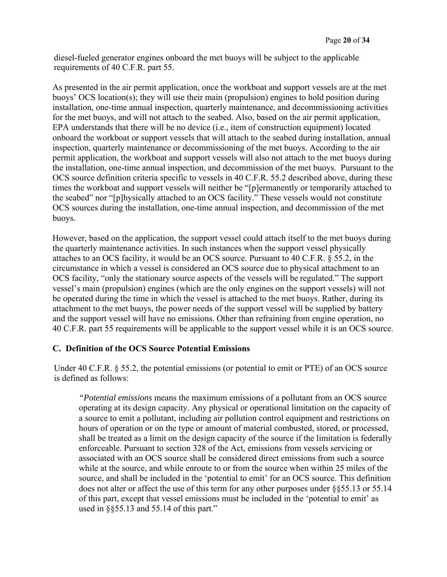diesel-fueled generator engines onboard the met buoys will be subject to the applicable requirements of 40 C.F.R. part 55.

As presented in the air permit application, once the workboat and support vessels are at the met buoys' OCS location(s); they will use their main (propulsion) engines to hold position during installation, one-time annual inspection, quarterly maintenance, and decommissioning activities for the met buoys, and will not attach to the seabed. Also, based on the air permit application, EPA understands that there will be no device (i.e., item of construction equipment) located onboard the workboat or support vessels that will attach to the seabed during installation, annual inspection, quarterly maintenance or decommissioning of the met buoys. According to the air permit application, the workboat and support vessels will also not attach to the met buoys during the installation, one-time annual inspection, and decommission of the met buoys. Pursuant to the OCS source definition criteria specific to vessels in 40 C.F.R. 55.2 described above, during these times the workboat and support vessels will neither be "[p]ermanently or temporarily attached to the seabed" nor "[p]hysically attached to an OCS facility." These vessels would not constitute OCS sources during the installation, one-time annual inspection, and decommission of the met buoys.

However, based on the application, the support vessel could attach itself to the met buoys during the quarterly maintenance activities. In such instances when the support vessel physically attaches to an OCS facility, it would be an OCS source. Pursuant to 40 C.F.R. § 55.2, in the circumstance in which a vessel is considered an OCS source due to physical attachment to an OCS facility, "only the stationary source aspects of the vessels will be regulated." The support vessel's main (propulsion) engines (which are the only engines on the support vessels) will not be operated during the time in which the vessel is attached to the met buoys. Rather, during its attachment to the met buoys, the power needs of the support vessel will be supplied by battery and the support vessel will have no emissions. Other than refraining from engine operation, no 40 C.F.R. part 55 requirements will be applicable to the support vessel while it is an OCS source.

#### **C. Definition of the OCS Source Potential Emissions**

Under 40 C.F.R. § 55.2, the potential emissions (or potential to emit or PTE) of an OCS source is defined as follows:

*"Potential emissions* means the maximum emissions of a pollutant from an OCS source operating at its design capacity. Any physical or operational limitation on the capacity of a source to emit a pollutant, including air pollution control equipment and restrictions on hours of operation or on the type or amount of material combusted, stored, or processed, shall be treated as a limit on the design capacity of the source if the limitation is federally enforceable. Pursuant to section 328 of the Act, emissions from vessels servicing or associated with an OCS source shall be considered direct emissions from such a source while at the source, and while enroute to or from the source when within 25 miles of the source, and shall be included in the 'potential to emit' for an OCS source. This definition does not alter or affect the use of this term for any other purposes under §§55.13 or 55.14 of this part, except that vessel emissions must be included in the 'potential to emit' as used in §§55.13 and 55.14 of this part."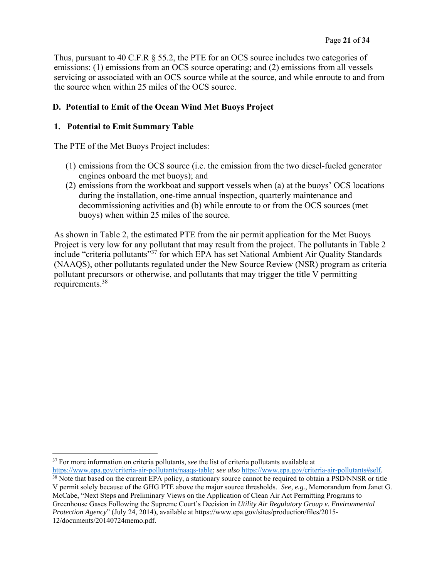Thus, pursuant to 40 C.F.R § 55.2, the PTE for an OCS source includes two categories of emissions: (1) emissions from an OCS source operating; and (2) emissions from all vessels servicing or associated with an OCS source while at the source, and while enroute to and from the source when within 25 miles of the OCS source.

## **D. Potential to Emit of the Ocean Wind Met Buoys Project**

#### **1. Potential to Emit Summary Table**

The PTE of the Met Buoys Project includes:

- (1) emissions from the OCS source (i.e. the emission from the two diesel-fueled generator engines onboard the met buoys); and
- (2) emissions from the workboat and support vessels when (a) at the buoys' OCS locations during the installation, one-time annual inspection, quarterly maintenance and decommissioning activities and (b) while enroute to or from the OCS sources (met buoys) when within 25 miles of the source.

As shown in Table 2, the estimated PTE from the air permit application for the Met Buoys Project is very low for any pollutant that may result from the project. The pollutants in Table 2 include "criteria pollutants"37 for which EPA has set National Ambient Air Quality Standards (NAAQS), other pollutants regulated under the New Source Review (NSR) program as criteria pollutant precursors or otherwise, and pollutants that may trigger the title V permitting requirements.38

<sup>&</sup>lt;sup>37</sup> For more information on criteria pollutants, *see* the list of criteria pollutants available at

https://www.epa.gov/criteria-air-pollutants/naaqs-table; *see also* https://www.epa.gov/criteria-air-pollutants#self. <sup>38</sup> Note that based on the current EPA policy, a stationary source cannot be required to obtain a PSD/NNSR or title V permit solely because of the GHG PTE above the major source thresholds. *See, e.g.,* Memorandum from Janet G. McCabe, "Next Steps and Preliminary Views on the Application of Clean Air Act Permitting Programs to Greenhouse Gases Following the Supreme Court's Decision in *Utility Air Regulatory Group v. Environmental Protection Agency*" (July 24, 2014), available at https://www.epa.gov/sites/production/files/2015- 12/documents/20140724memo.pdf.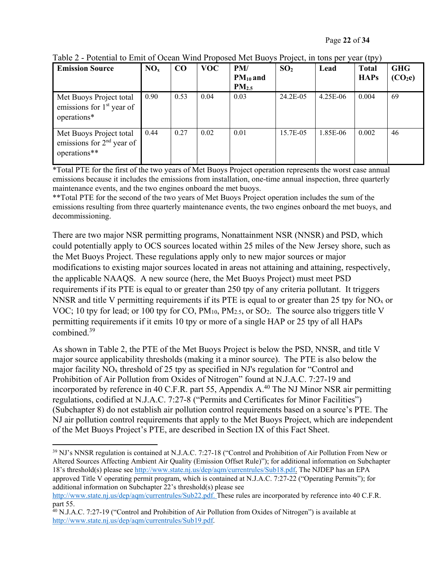| <b>Emission Source</b>                                                 | NO <sub>x</sub> | $\bf CO$ | <b>VOC</b> | PM/<br>$PM_{10}$ and<br>PM <sub>2.5</sub> | SO <sub>2</sub> | Lead     | <b>Total</b><br><b>HAPs</b> | <b>GHG</b><br>(CO <sub>2</sub> e) |
|------------------------------------------------------------------------|-----------------|----------|------------|-------------------------------------------|-----------------|----------|-----------------------------|-----------------------------------|
| Met Buoys Project total<br>emissions for $1st$ year of<br>operations*  | 0.90            | 0.53     | 0.04       | 0.03                                      | 24.2E-05        | 4.25E-06 | 0.004                       | 69                                |
| Met Buoys Project total<br>emissions for $2nd$ year of<br>operations** | 0.44            | 0.27     | 0.02       | 0.01                                      | 15.7E-05        | 1.85E-06 | 0.002                       | 46                                |

Table 2 - Potential to Emit of Ocean Wind Proposed Met Buoys Project, in tons per year (tpy)

\*Total PTE for the first of the two years of Met Buoys Project operation represents the worst case annual emissions because it includes the emissions from installation, one-time annual inspection, three quarterly maintenance events, and the two engines onboard the met buoys.

\*\*Total PTE for the second of the two years of Met Buoys Project operation includes the sum of the emissions resulting from three quarterly maintenance events, the two engines onboard the met buoys, and decommissioning.

There are two major NSR permitting programs, Nonattainment NSR (NNSR) and PSD, which could potentially apply to OCS sources located within 25 miles of the New Jersey shore, such as the Met Buoys Project. These regulations apply only to new major sources or major modifications to existing major sources located in areas not attaining and attaining, respectively, the applicable NAAQS. A new source (here, the Met Buoys Project) must meet PSD requirements if its PTE is equal to or greater than 250 tpy of any criteria pollutant. It triggers NNSR and title V permitting requirements if its PTE is equal to or greater than 25 tpy for  $NO<sub>x</sub>$  or VOC; 10 tpy for lead; or 100 tpy for CO,  $PM_{10}$ ,  $PM_{2.5}$ , or SO<sub>2</sub>. The source also triggers title V permitting requirements if it emits 10 tpy or more of a single HAP or 25 tpy of all HAPs combined.39

As shown in Table 2, the PTE of the Met Buoys Project is below the PSD, NNSR, and title V major source applicability thresholds (making it a minor source). The PTE is also below the major facility  $NO<sub>x</sub>$  threshold of 25 tpy as specified in NJ's regulation for "Control and Prohibition of Air Pollution from Oxides of Nitrogen" found at N.J.A.C. 7:27-19 and incorporated by reference in 40 C.F.R. part 55, Appendix  $A<sup>40</sup>$  The NJ Minor NSR air permitting regulations, codified at N.J.A.C. 7:27-8 ("Permits and Certificates for Minor Facilities") (Subchapter 8) do not establish air pollution control requirements based on a source's PTE. The NJ air pollution control requirements that apply to the Met Buoys Project, which are independent of the Met Buoys Project's PTE, are described in Section IX of this Fact Sheet.

<sup>39</sup> NJ's NNSR regulation is contained at N.J.A.C. 7:27-18 ("Control and Prohibition of Air Pollution From New or Altered Sources Affecting Ambient Air Quality (Emission Offset Rule)"); for additional information on Subchapter 18's threshold(s) please see http://www.state.nj.us/dep/aqm/currentrules/Sub18.pdf. The NJDEP has an EPA approved Title V operating permit program, which is contained at N.J.A.C. 7:27-22 ("Operating Permits"); for additional information on Subchapter 22's threshold(s) please see

http://www.state.nj.us/dep/aqm/currentrules/Sub22.pdf. These rules are incorporated by reference into 40 C.F.R. part 55.

 $40$  N.J.A.C. 7:27-19 ("Control and Prohibition of Air Pollution from Oxides of Nitrogen") is available at http://www.state.nj.us/dep/aqm/currentrules/Sub19.pdf.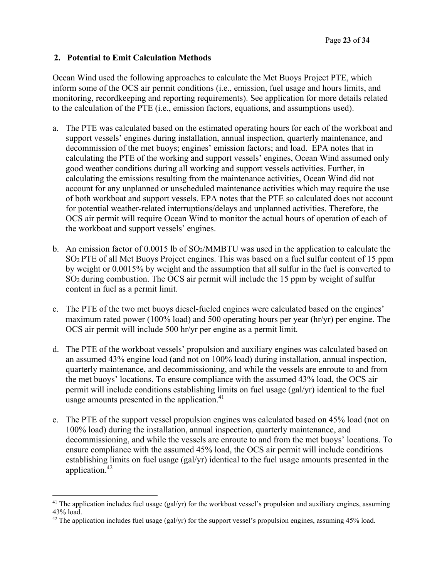#### **2. Potential to Emit Calculation Methods**

Ocean Wind used the following approaches to calculate the Met Buoys Project PTE, which inform some of the OCS air permit conditions (i.e., emission, fuel usage and hours limits, and monitoring, recordkeeping and reporting requirements). See application for more details related to the calculation of the PTE (i.e., emission factors, equations, and assumptions used).

- a. The PTE was calculated based on the estimated operating hours for each of the workboat and support vessels' engines during installation, annual inspection, quarterly maintenance, and decommission of the met buoys; engines' emission factors; and load. EPA notes that in calculating the PTE of the working and support vessels' engines, Ocean Wind assumed only good weather conditions during all working and support vessels activities. Further, in calculating the emissions resulting from the maintenance activities, Ocean Wind did not account for any unplanned or unscheduled maintenance activities which may require the use of both workboat and support vessels. EPA notes that the PTE so calculated does not account for potential weather-related interruptions/delays and unplanned activities. Therefore, the OCS air permit will require Ocean Wind to monitor the actual hours of operation of each of the workboat and support vessels' engines.
- b. An emission factor of 0.0015 lb of SO2/MMBTU was used in the application to calculate the SO2 PTE of all Met Buoys Project engines. This was based on a fuel sulfur content of 15 ppm by weight or 0.0015% by weight and the assumption that all sulfur in the fuel is converted to SO2 during combustion. The OCS air permit will include the 15 ppm by weight of sulfur content in fuel as a permit limit.
- c. The PTE of the two met buoys diesel-fueled engines were calculated based on the engines' maximum rated power (100% load) and 500 operating hours per year (hr/yr) per engine. The OCS air permit will include 500 hr/yr per engine as a permit limit.
- d. The PTE of the workboat vessels' propulsion and auxiliary engines was calculated based on an assumed 43% engine load (and not on 100% load) during installation, annual inspection, quarterly maintenance, and decommissioning, and while the vessels are enroute to and from the met buoys' locations. To ensure compliance with the assumed 43% load, the OCS air permit will include conditions establishing limits on fuel usage (gal/yr) identical to the fuel usage amounts presented in the application.<sup>41</sup>
- e. The PTE of the support vessel propulsion engines was calculated based on 45% load (not on 100% load) during the installation, annual inspection, quarterly maintenance, and decommissioning, and while the vessels are enroute to and from the met buoys' locations. To ensure compliance with the assumed 45% load, the OCS air permit will include conditions establishing limits on fuel usage (gal/yr) identical to the fuel usage amounts presented in the application.42

  $41$  The application includes fuel usage (gal/yr) for the workboat vessel's propulsion and auxiliary engines, assuming 43% load.

 $42$  The application includes fuel usage (gal/yr) for the support vessel's propulsion engines, assuming 45% load.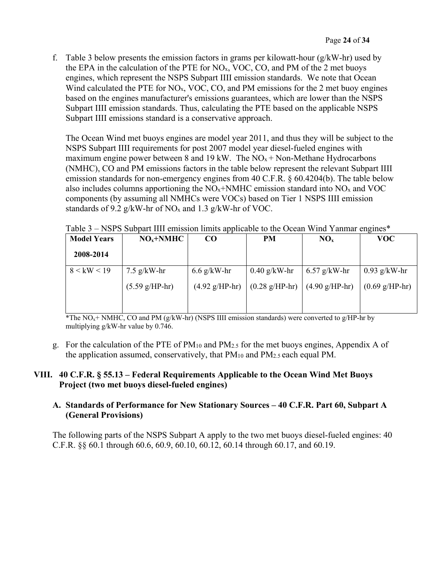f. Table 3 below presents the emission factors in grams per kilowatt-hour  $(g/kW-hr)$  used by the EPA in the calculation of the PTE for  $NO<sub>x</sub>$ , VOC, CO, and PM of the 2 met buoys engines, which represent the NSPS Subpart IIII emission standards. We note that Ocean Wind calculated the PTE for  $NO<sub>x</sub>$ , VOC, CO, and PM emissions for the 2 met buoy engines based on the engines manufacturer's emissions guarantees, which are lower than the NSPS Subpart IIII emission standards. Thus, calculating the PTE based on the applicable NSPS Subpart IIII emissions standard is a conservative approach.

The Ocean Wind met buoys engines are model year 2011, and thus they will be subject to the NSPS Subpart IIII requirements for post 2007 model year diesel-fueled engines with maximum engine power between 8 and 19 kW. The  $NO<sub>x</sub> + Non-Methane Hydrocarbons$ (NMHC), CO and PM emissions factors in the table below represent the relevant Subpart IIII emission standards for non-emergency engines from 40 C.F.R. § 60.4204(b). The table below also includes columns apportioning the  $NO<sub>x</sub>+NMHC$  emission standard into  $NO<sub>x</sub>$  and VOC components (by assuming all NMHCs were VOCs) based on Tier 1 NSPS IIII emission standards of 9.2 g/kW-hr of NO<sub>x</sub> and 1.3 g/kW-hr of VOC.

| <b>Model Years</b> | $NOx+NMHC$               | CO <sub>.</sub>          | PM                         | NO <sub>x</sub>          | <b>VOC</b>               |
|--------------------|--------------------------|--------------------------|----------------------------|--------------------------|--------------------------|
| 2008-2014          |                          |                          |                            |                          |                          |
| 8 < kW < 19        | $7.5$ g/kW-hr            | $6.6$ g/kW-hr            | $0.40$ g/kW-hr             | $6.57$ g/kW-hr           | $0.93$ g/kW-hr           |
|                    | $(5.59 \text{ g/HP-hr})$ | $(4.92 \text{ g/HP-hr})$ | $(0.28 \text{ g/H} - h r)$ | $(4.90 \text{ g/HP-hr})$ | $(0.69 \text{ g/HP-hr})$ |
|                    |                          |                          |                            |                          |                          |

Table 3 – NSPS Subpart IIII emission limits applicable to the Ocean Wind Yanmar engines\*

\*The  $NO<sub>x</sub>$ + NMHC, CO and PM (g/kW-hr) (NSPS IIII emission standards) were converted to g/HP-hr by multiplying g/kW-hr value by 0.746.

g. For the calculation of the PTE of PM10 and PM2.5 for the met buoys engines, Appendix A of the application assumed, conservatively, that  $PM_{10}$  and  $PM_{2.5}$  each equal PM.

## **VIII. 40 C.F.R. § 55.13 – Federal Requirements Applicable to the Ocean Wind Met Buoys Project (two met buoys diesel-fueled engines)**

## **A. Standards of Performance for New Stationary Sources – 40 C.F.R. Part 60, Subpart A (General Provisions)**

The following parts of the NSPS Subpart A apply to the two met buoys diesel-fueled engines: 40 C.F.R. §§ 60.1 through 60.6, 60.9, 60.10, 60.12, 60.14 through 60.17, and 60.19.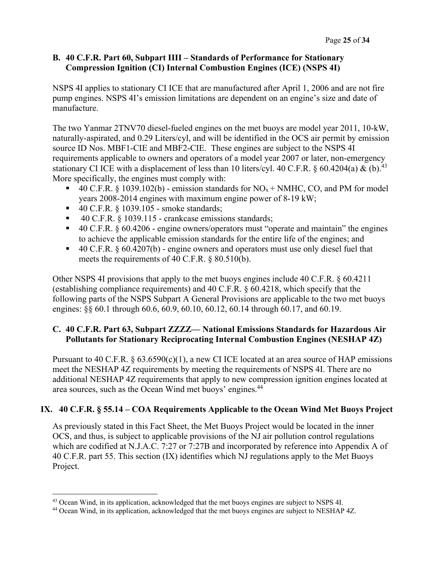## **B. 40 C.F.R. Part 60, Subpart IIII – Standards of Performance for Stationary Compression Ignition (CI) Internal Combustion Engines (ICE) (NSPS 4I)**

NSPS 4I applies to stationary CI ICE that are manufactured after April 1, 2006 and are not fire pump engines. NSPS 4I's emission limitations are dependent on an engine's size and date of manufacture.

The two Yanmar 2TNV70 diesel-fueled engines on the met buoys are model year 2011, 10-kW, naturally-aspirated, and 0.29 Liters/cyl, and will be identified in the OCS air permit by emission source ID Nos. MBF1-CIE and MBF2-CIE. These engines are subject to the NSPS 4I requirements applicable to owners and operators of a model year 2007 or later, non-emergency stationary CI ICE with a displacement of less than 10 liters/cyl. 40 C.F.R. § 60.4204(a) & (b).<sup>43</sup> More specifically, the engines must comply with:

- 40 C.F.R. § 1039.102(b) emission standards for  $NO<sub>x</sub> + NMHC$ , CO, and PM for model years 2008-2014 engines with maximum engine power of 8-19 kW;
- $\blacksquare$  40 C.F.R. § 1039.105 smoke standards;
- $\blacksquare$  40 C.F.R. § 1039.115 crankcase emissions standards;
- $\blacksquare$  40 C.F.R. § 60.4206 engine owners/operators must "operate and maintain" the engines to achieve the applicable emission standards for the entire life of the engines; and
- $\blacksquare$  40 C.F.R. § 60.4207(b) engine owners and operators must use only diesel fuel that meets the requirements of 40 C.F.R. § 80.510(b).

Other NSPS 4I provisions that apply to the met buoys engines include 40 C.F.R. § 60.4211 (establishing compliance requirements) and 40 C.F.R. § 60.4218, which specify that the following parts of the NSPS Subpart A General Provisions are applicable to the two met buoys engines:  $\S$ § 60.1 through 60.6, 60.9, 60.10, 60.12, 60.14 through 60.17, and 60.19.

## **C. 40 C.F.R. Part 63, Subpart ZZZZ— National Emissions Standards for Hazardous Air Pollutants for Stationary Reciprocating Internal Combustion Engines (NESHAP 4Z)**

Pursuant to 40 C.F.R.  $\S 63.6590(c)(1)$ , a new CI ICE located at an area source of HAP emissions meet the NESHAP 4Z requirements by meeting the requirements of NSPS 4I. There are no additional NESHAP 4Z requirements that apply to new compression ignition engines located at area sources, such as the Ocean Wind met buoys' engines.44

## **IX. 40 C.F.R. § 55.14 – COA Requirements Applicable to the Ocean Wind Met Buoys Project**

As previously stated in this Fact Sheet, the Met Buoys Project would be located in the inner OCS, and thus, is subject to applicable provisions of the NJ air pollution control regulations which are codified at N.J.A.C. 7:27 or 7:27B and incorporated by reference into Appendix A of 40 C.F.R. part 55. This section (IX) identifies which NJ regulations apply to the Met Buoys Project.

 <sup>43</sup> Ocean Wind, in its application, acknowledged that the met buoys engines are subject to NSPS 4I.<br><sup>44</sup> Ocean Wind, in its application, acknowledged that the met buoys engines are subject to NESHAP 4Z.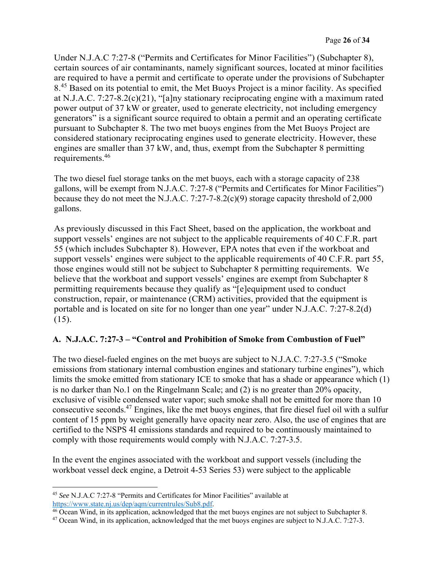Under N.J.A.C 7:27-8 ("Permits and Certificates for Minor Facilities") (Subchapter 8), certain sources of air contaminants, namely significant sources, located at minor facilities are required to have a permit and certificate to operate under the provisions of Subchapter 8<sup>.45</sup> Based on its potential to emit, the Met Buoys Project is a minor facility. As specified at N.J.A.C. 7:27-8.2(c)(21), "[a]ny stationary reciprocating engine with a maximum rated power output of 37 kW or greater, used to generate electricity, not including emergency generators" is a significant source required to obtain a permit and an operating certificate pursuant to Subchapter 8. The two met buoys engines from the Met Buoys Project are considered stationary reciprocating engines used to generate electricity. However, these engines are smaller than 37 kW, and, thus, exempt from the Subchapter 8 permitting requirements.46

The two diesel fuel storage tanks on the met buoys, each with a storage capacity of 238 gallons, will be exempt from N.J.A.C. 7:27-8 ("Permits and Certificates for Minor Facilities") because they do not meet the N.J.A.C. 7:27-7-8.2(c)(9) storage capacity threshold of 2,000 gallons.

As previously discussed in this Fact Sheet, based on the application, the workboat and support vessels' engines are not subject to the applicable requirements of 40 C.F.R. part 55 (which includes Subchapter 8). However, EPA notes that even if the workboat and support vessels' engines were subject to the applicable requirements of 40 C.F.R. part 55, those engines would still not be subject to Subchapter 8 permitting requirements. We believe that the workboat and support vessels' engines are exempt from Subchapter 8 permitting requirements because they qualify as "[e]equipment used to conduct construction, repair, or maintenance (CRM) activities, provided that the equipment is portable and is located on site for no longer than one year" under N.J.A.C. 7:27-8.2(d) (15).

## **A. N.J.A.C. 7:27-3 – "Control and Prohibition of Smoke from Combustion of Fuel"**

The two diesel-fueled engines on the met buoys are subject to N.J.A.C. 7:27-3.5 ("Smoke emissions from stationary internal combustion engines and stationary turbine engines"), which limits the smoke emitted from stationary ICE to smoke that has a shade or appearance which (1) is no darker than No.1 on the Ringelmann Scale; and (2) is no greater than 20% opacity, exclusive of visible condensed water vapor; such smoke shall not be emitted for more than 10 consecutive seconds.47 Engines, like the met buoys engines, that fire diesel fuel oil with a sulfur content of 15 ppm by weight generally have opacity near zero. Also, the use of engines that are certified to the NSPS 4I emissions standards and required to be continuously maintained to comply with those requirements would comply with N.J.A.C. 7:27-3.5.

In the event the engines associated with the workboat and support vessels (including the workboat vessel deck engine, a Detroit 4-53 Series 53) were subject to the applicable

 <sup>45</sup> *See* N.J.A.C 7:27-8 "Permits and Certificates for Minor Facilities" available at https://www.state.nj.us/dep/aqm/currentrules/Sub8.pdf.

<sup>&</sup>lt;sup>46</sup> Ocean Wind, in its application, acknowledged that the met buoys engines are not subject to Subchapter 8.

<sup>47</sup> Ocean Wind, in its application, acknowledged that the met buoys engines are subject to N.J.A.C. 7:27-3.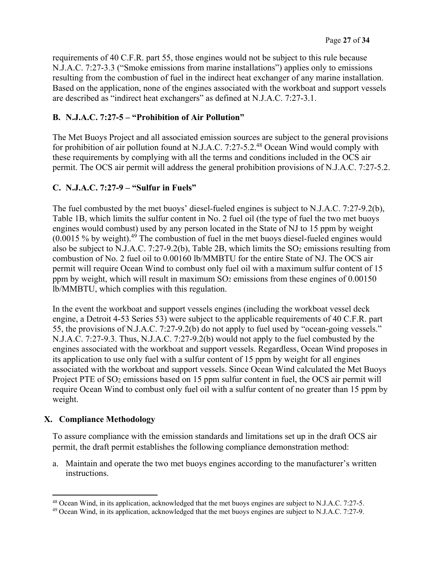requirements of 40 C.F.R. part 55, those engines would not be subject to this rule because N.J.A.C. 7:27-3.3 ("Smoke emissions from marine installations") applies only to emissions resulting from the combustion of fuel in the indirect heat exchanger of any marine installation. Based on the application, none of the engines associated with the workboat and support vessels are described as "indirect heat exchangers" as defined at N.J.A.C. 7:27-3.1.

## **B. N.J.A.C. 7:27-5 – "Prohibition of Air Pollution"**

The Met Buoys Project and all associated emission sources are subject to the general provisions for prohibition of air pollution found at N.J.A.C. 7:27-5.2.48 Ocean Wind would comply with these requirements by complying with all the terms and conditions included in the OCS air permit. The OCS air permit will address the general prohibition provisions of N.J.A.C. 7:27-5.2.

## **C. N.J.A.C. 7:27-9 – "Sulfur in Fuels"**

The fuel combusted by the met buoys' diesel-fueled engines is subject to N.J.A.C. 7:27-9.2(b), Table 1B, which limits the sulfur content in No. 2 fuel oil (the type of fuel the two met buoys engines would combust) used by any person located in the State of NJ to 15 ppm by weight  $(0.0015\%$  by weight).<sup>49</sup> The combustion of fuel in the met buoys diesel-fueled engines would also be subject to N.J.A.C. 7:27-9.2(b), Table 2B, which limits the  $SO_2$  emissions resulting from combustion of No. 2 fuel oil to 0.00160 lb/MMBTU for the entire State of NJ. The OCS air permit will require Ocean Wind to combust only fuel oil with a maximum sulfur content of 15 ppm by weight, which will result in maximum  $SO<sub>2</sub>$  emissions from these engines of  $0.00150$ lb/MMBTU, which complies with this regulation.

In the event the workboat and support vessels engines (including the workboat vessel deck engine, a Detroit 4-53 Series 53) were subject to the applicable requirements of 40 C.F.R. part 55, the provisions of N.J.A.C. 7:27-9.2(b) do not apply to fuel used by "ocean-going vessels." N.J.A.C. 7:27-9.3. Thus, N.J.A.C. 7:27-9.2(b) would not apply to the fuel combusted by the engines associated with the workboat and support vessels. Regardless, Ocean Wind proposes in its application to use only fuel with a sulfur content of 15 ppm by weight for all engines associated with the workboat and support vessels. Since Ocean Wind calculated the Met Buoys Project PTE of SO<sub>2</sub> emissions based on 15 ppm sulfur content in fuel, the OCS air permit will require Ocean Wind to combust only fuel oil with a sulfur content of no greater than 15 ppm by weight.

## **X. Compliance Methodology**

To assure compliance with the emission standards and limitations set up in the draft OCS air permit, the draft permit establishes the following compliance demonstration method:

a. Maintain and operate the two met buoys engines according to the manufacturer's written instructions.

<sup>48</sup> Ocean Wind, in its application, acknowledged that the met buoys engines are subject to N.J.A.C. 7:27-5.

<sup>&</sup>lt;sup>49</sup> Ocean Wind, in its application, acknowledged that the met buoys engines are subject to N.J.A.C. 7:27-9.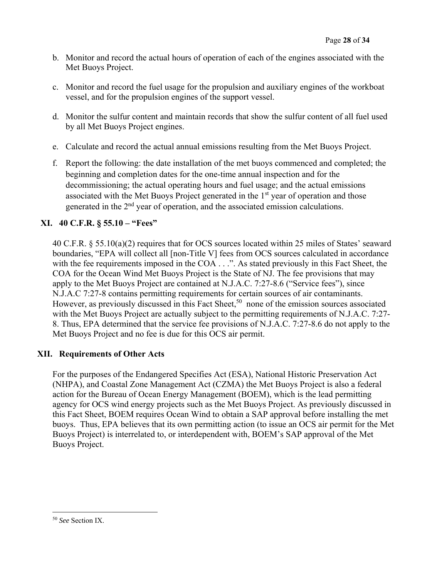- b. Monitor and record the actual hours of operation of each of the engines associated with the Met Buoys Project.
- c. Monitor and record the fuel usage for the propulsion and auxiliary engines of the workboat vessel, and for the propulsion engines of the support vessel.
- d. Monitor the sulfur content and maintain records that show the sulfur content of all fuel used by all Met Buoys Project engines.
- e. Calculate and record the actual annual emissions resulting from the Met Buoys Project.
- f. Report the following: the date installation of the met buoys commenced and completed; the beginning and completion dates for the one-time annual inspection and for the decommissioning; the actual operating hours and fuel usage; and the actual emissions associated with the Met Buoys Project generated in the  $1<sup>st</sup>$  year of operation and those generated in the 2<sup>nd</sup> year of operation, and the associated emission calculations.

## **XI. 40 C.F.R. § 55.10 – "Fees"**

40 C.F.R. § 55.10(a)(2) requires that for OCS sources located within 25 miles of States' seaward boundaries, "EPA will collect all [non-Title V] fees from OCS sources calculated in accordance with the fee requirements imposed in the COA . . .". As stated previously in this Fact Sheet, the COA for the Ocean Wind Met Buoys Project is the State of NJ. The fee provisions that may apply to the Met Buoys Project are contained at N.J.A.C. 7:27-8.6 ("Service fees"), since N.J.A.C 7:27-8 contains permitting requirements for certain sources of air contaminants. However, as previously discussed in this Fact Sheet,<sup>50</sup> none of the emission sources associated with the Met Buoys Project are actually subject to the permitting requirements of N.J.A.C. 7:27- 8. Thus, EPA determined that the service fee provisions of N.J.A.C. 7:27-8.6 do not apply to the Met Buoys Project and no fee is due for this OCS air permit.

## **XII. Requirements of Other Acts**

For the purposes of the Endangered Specifies Act (ESA), National Historic Preservation Act (NHPA), and Coastal Zone Management Act (CZMA) the Met Buoys Project is also a federal action for the Bureau of Ocean Energy Management (BOEM), which is the lead permitting agency for OCS wind energy projects such as the Met Buoys Project. As previously discussed in this Fact Sheet, BOEM requires Ocean Wind to obtain a SAP approval before installing the met buoys. Thus, EPA believes that its own permitting action (to issue an OCS air permit for the Met Buoys Project) is interrelated to, or interdependent with, BOEM's SAP approval of the Met Buoys Project.

<sup>50</sup> *See* Section IX.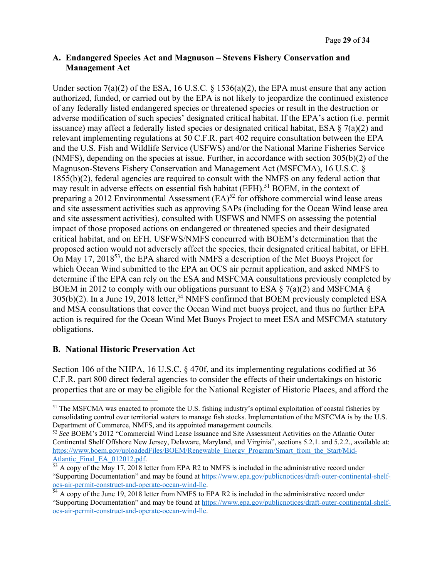#### **A. Endangered Species Act and Magnuson – Stevens Fishery Conservation and Management Act**

Under section  $7(a)(2)$  of the ESA, 16 U.S.C. § 1536(a)(2), the EPA must ensure that any action authorized, funded, or carried out by the EPA is not likely to jeopardize the continued existence of any federally listed endangered species or threatened species or result in the destruction or adverse modification of such species' designated critical habitat. If the EPA's action (i.e. permit issuance) may affect a federally listed species or designated critical habitat, ESA  $\S$  7(a)(2) and relevant implementing regulations at 50 C.F.R. part 402 require consultation between the EPA and the U.S. Fish and Wildlife Service (USFWS) and/or the National Marine Fisheries Service (NMFS), depending on the species at issue. Further, in accordance with section 305(b)(2) of the Magnuson-Stevens Fishery Conservation and Management Act (MSFCMA), 16 U.S.C. § 1855(b)(2), federal agencies are required to consult with the NMFS on any federal action that may result in adverse effects on essential fish habitat (EFH).<sup>51</sup> BOEM, in the context of preparing a 2012 Environmental Assessment  $(EA)^{52}$  for offshore commercial wind lease areas and site assessment activities such as approving SAPs (including for the Ocean Wind lease area and site assessment activities), consulted with USFWS and NMFS on assessing the potential impact of those proposed actions on endangered or threatened species and their designated critical habitat, and on EFH. USFWS/NMFS concurred with BOEM's determination that the proposed action would not adversely affect the species, their designated critical habitat, or EFH. On May 17, 2018<sup>53</sup>, the EPA shared with NMFS a description of the Met Buoys Project for which Ocean Wind submitted to the EPA an OCS air permit application, and asked NMFS to determine if the EPA can rely on the ESA and MSFCMA consultations previously completed by BOEM in 2012 to comply with our obligations pursuant to ESA  $\S$  7(a)(2) and MSFCMA  $\S$  $305(b)(2)$ . In a June 19, 2018 letter,<sup>54</sup> NMFS confirmed that BOEM previously completed ESA and MSA consultations that cover the Ocean Wind met buoys project, and thus no further EPA action is required for the Ocean Wind Met Buoys Project to meet ESA and MSFCMA statutory obligations.

#### **B. National Historic Preservation Act**

Section 106 of the NHPA, 16 U.S.C. § 470f, and its implementing regulations codified at 36 C.F.R. part 800 direct federal agencies to consider the effects of their undertakings on historic properties that are or may be eligible for the National Register of Historic Places, and afford the

<sup>51</sup> The MSFCMA was enacted to promote the U.S. fishing industry's optimal exploitation of coastal fisheries by consolidating control over territorial waters to manage fish stocks. Implementation of the MSFCMA is by the U.S. Department of Commerce, NMFS, and its appointed management councils.

<sup>52</sup> *See* BOEM's 2012 "Commercial Wind Lease Issuance and Site Assessment Activities on the Atlantic Outer Continental Shelf Offshore New Jersey, Delaware, Maryland, and Virginia", sections 5.2.1. and 5.2.2., available at: https://www.boem.gov/uploadedFiles/BOEM/Renewable\_Energy\_Program/Smart\_from\_the\_Start/Mid-Atlantic\_Final\_EA\_012012.pdf. 53 A copy of the May 17, 2018 letter from EPA R2 to NMFS is included in the administrative record under

<sup>&</sup>quot;Supporting Documentation" and may be found at https://www.epa.gov/publicnotices/draft-outer-continental-shelfocs-air-permit-construct-and-operate-ocean-wind-llc.

<sup>&</sup>lt;sup>54</sup> A copy of the June 19, 2018 letter from NMFS to EPA R2 is included in the administrative record under "Supporting Documentation" and may be found at https://www.epa.gov/publicnotices/draft-outer-continental-shelfocs-air-permit-construct-and-operate-ocean-wind-llc.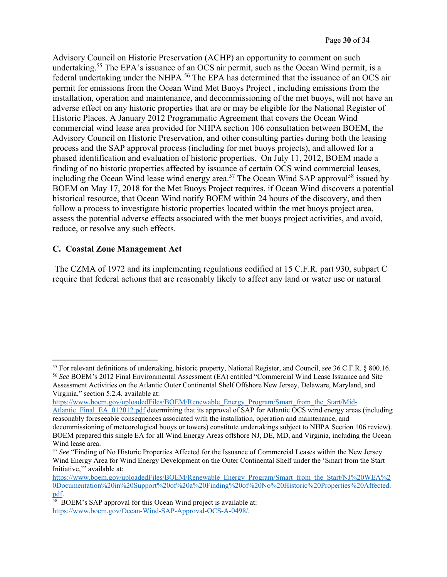Advisory Council on Historic Preservation (ACHP) an opportunity to comment on such undertaking.<sup>55</sup> The EPA's issuance of an OCS air permit, such as the Ocean Wind permit, is a federal undertaking under the NHPA.<sup>56</sup> The EPA has determined that the issuance of an OCS air permit for emissions from the Ocean Wind Met Buoys Project , including emissions from the installation, operation and maintenance, and decommissioning of the met buoys, will not have an adverse effect on any historic properties that are or may be eligible for the National Register of Historic Places. A January 2012 Programmatic Agreement that covers the Ocean Wind commercial wind lease area provided for NHPA section 106 consultation between BOEM, the Advisory Council on Historic Preservation, and other consulting parties during both the leasing process and the SAP approval process (including for met buoys projects), and allowed for a phased identification and evaluation of historic properties. On July 11, 2012, BOEM made a finding of no historic properties affected by issuance of certain OCS wind commercial leases, including the Ocean Wind lease wind energy area.<sup>57</sup> The Ocean Wind SAP approval<sup>58</sup> issued by BOEM on May 17, 2018 for the Met Buoys Project requires, if Ocean Wind discovers a potential historical resource, that Ocean Wind notify BOEM within 24 hours of the discovery, and then follow a process to investigate historic properties located within the met buoys project area, assess the potential adverse effects associated with the met buoys project activities, and avoid, reduce, or resolve any such effects.

## **C. Coastal Zone Management Act**

 The CZMA of 1972 and its implementing regulations codified at 15 C.F.R. part 930, subpart C require that federal actions that are reasonably likely to affect any land or water use or natural

https://www.boem.gov/uploadedFiles/BOEM/Renewable\_Energy\_Program/Smart\_from\_the\_Start/Mid-

<sup>55</sup> For relevant definitions of undertaking, historic property, National Register, and Council, *see* 36 C.F.R. § 800.16. <sup>56</sup> *See* BOEM's 2012 Final Environmental Assessment (EA) entitled "Commercial Wind Lease Issuance and Site

Assessment Activities on the Atlantic Outer Continental Shelf Offshore New Jersey, Delaware, Maryland, and Virginia," section 5.2.4, available at:

Atlantic\_Final\_EA\_012012.pdf determining that its approval of SAP for Atlantic OCS wind energy areas (including reasonably foreseeable consequences associated with the installation, operation and maintenance, and decommissioning of meteorological buoys or towers) constitute undertakings subject to NHPA Section 106 review). BOEM prepared this single EA for all Wind Energy Areas offshore NJ, DE, MD, and Virginia, including the Ocean Wind lease area.

<sup>57</sup> *See* "Finding of No Historic Properties Affected for the Issuance of Commercial Leases within the New Jersey Wind Energy Area for Wind Energy Development on the Outer Continental Shelf under the 'Smart from the Start Initiative,'" available at:

https://www.boem.gov/uploadedFiles/BOEM/Renewable\_Energy\_Program/Smart\_from\_the\_Start/NJ%20WEA%2 0Documentation%20in%20Support%20of%20a%20Finding%20of%20No%20Historic%20Properties%20Affected.

 $pdf.$ <sup>58</sup> BOEM's SAP approval for this Ocean Wind project is available at: https://www.boem.gov/Ocean-Wind-SAP-Approval-OCS-A-0498/.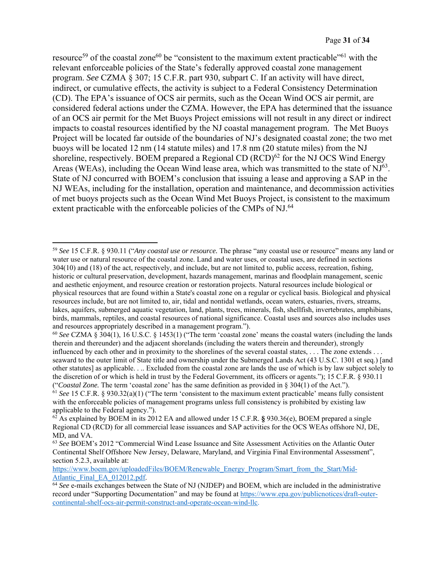resource<sup>59</sup> of the coastal zone<sup>60</sup> be "consistent to the maximum extent practicable"<sup>61</sup> with the relevant enforceable policies of the State's federally approved coastal zone management program. *See* CZMA § 307; 15 C.F.R. part 930, subpart C. If an activity will have direct, indirect, or cumulative effects, the activity is subject to a Federal Consistency Determination (CD). The EPA's issuance of OCS air permits, such as the Ocean Wind OCS air permit, are considered federal actions under the CZMA. However, the EPA has determined that the issuance of an OCS air permit for the Met Buoys Project emissions will not result in any direct or indirect impacts to coastal resources identified by the NJ coastal management program. The Met Buoys Project will be located far outside of the boundaries of NJ's designated coastal zone; the two met buoys will be located 12 nm (14 statute miles) and 17.8 nm (20 statute miles) from the NJ shoreline, respectively. BOEM prepared a Regional CD  $(RCD)^{62}$  for the NJ OCS Wind Energy Areas (WEAs), including the Ocean Wind lease area, which was transmitted to the state of NJ<sup>63</sup>. State of NJ concurred with BOEM's conclusion that issuing a lease and approving a SAP in the NJ WEAs, including for the installation, operation and maintenance, and decommission activities of met buoys projects such as the Ocean Wind Met Buoys Project, is consistent to the maximum extent practicable with the enforceable policies of the CMPs of NJ.<sup>64</sup>

<sup>59</sup> *See* 15 C.F.R. § 930.11 ("*Any coastal use or resource.* The phrase "any coastal use or resource" means any land or water use or natural resource of the coastal zone. Land and water uses, or coastal uses, are defined in sections 304(10) and (18) of the act, respectively, and include, but are not limited to, public access, recreation, fishing, historic or cultural preservation, development, hazards management, marinas and floodplain management, scenic and aesthetic enjoyment, and resource creation or restoration projects. Natural resources include biological or physical resources that are found within a State's coastal zone on a regular or cyclical basis. Biological and physical resources include, but are not limited to, air, tidal and nontidal wetlands, ocean waters, estuaries, rivers, streams, lakes, aquifers, submerged aquatic vegetation, land, plants, trees, minerals, fish, shellfish, invertebrates, amphibians, birds, mammals, reptiles, and coastal resources of national significance. Coastal uses and sources also includes uses and resources appropriately described in a management program.").

<sup>60</sup> *See* CZMA § 304(1), 16 U.S.C. § 1453(1) ("The term 'coastal zone' means the coastal waters (including the lands therein and thereunder) and the adjacent shorelands (including the waters therein and thereunder), strongly influenced by each other and in proximity to the shorelines of the several coastal states, . . . The zone extends . . . seaward to the outer limit of State title and ownership under the Submerged Lands Act (43 U.S.C. 1301 et seq.) [and other statutes] as applicable. . .. Excluded from the coastal zone are lands the use of which is by law subject solely to the discretion of or which is held in trust by the Federal Government, its officers or agents."); 15 C.F.R. § 930.11 ("*Coastal Zone.* The term 'coastal zone' has the same definition as provided in § 304(1) of the Act.").

<sup>61</sup> *See* 15 C.F.R. § 930.32(a)(1) ("The term 'consistent to the maximum extent practicable' means fully consistent with the enforceable policies of management programs unless full consistency is prohibited by existing law applicable to the Federal agency.").

<sup>62</sup> As explained by BOEM in its 2012 EA and allowed under 15 C.F.R. **§** 930.36(e), BOEM prepared a single Regional CD (RCD) for all commercial lease issuances and SAP activities for the OCS WEAs offshore NJ, DE, MD, and VA.

<sup>63</sup> *See* BOEM's 2012 "Commercial Wind Lease Issuance and Site Assessment Activities on the Atlantic Outer Continental Shelf Offshore New Jersey, Delaware, Maryland, and Virginia Final Environmental Assessment", section 5.2.3, available at:

https://www.boem.gov/uploadedFiles/BOEM/Renewable\_Energy\_Program/Smart\_from\_the\_Start/Mid-Atlantic\_Final\_EA\_012012.pdf.

<sup>&</sup>lt;sup>64</sup> See e-mails exchanges between the State of NJ (NJDEP) and BOEM, which are included in the administrative record under "Supporting Documentation" and may be found at https://www.epa.gov/publicnotices/draft-outercontinental-shelf-ocs-air-permit-construct-and-operate-ocean-wind-llc.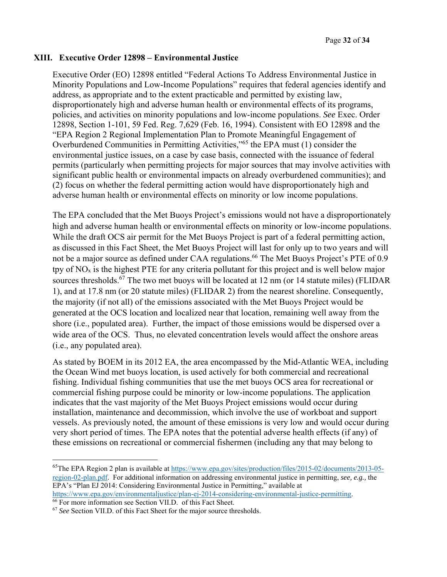#### **XIII. Executive Order 12898 – Environmental Justice**

Executive Order (EO) 12898 entitled "Federal Actions To Address Environmental Justice in Minority Populations and Low-Income Populations" requires that federal agencies identify and address, as appropriate and to the extent practicable and permitted by existing law, disproportionately high and adverse human health or environmental effects of its programs, policies, and activities on minority populations and low-income populations. *See* Exec. Order 12898, Section 1-101, 59 Fed. Reg. 7,629 (Feb. 16, 1994). Consistent with EO 12898 and the "EPA Region 2 Regional Implementation Plan to Promote Meaningful Engagement of Overburdened Communities in Permitting Activities,"65 the EPA must (1) consider the environmental justice issues, on a case by case basis, connected with the issuance of federal permits (particularly when permitting projects for major sources that may involve activities with significant public health or environmental impacts on already overburdened communities); and (2) focus on whether the federal permitting action would have disproportionately high and adverse human health or environmental effects on minority or low income populations.

The EPA concluded that the Met Buoys Project's emissions would not have a disproportionately high and adverse human health or environmental effects on minority or low-income populations. While the draft OCS air permit for the Met Buoys Project is part of a federal permitting action, as discussed in this Fact Sheet, the Met Buoys Project will last for only up to two years and will not be a major source as defined under CAA regulations.<sup>66</sup> The Met Buoys Project's PTE of 0.9 tpy of  $NO<sub>x</sub>$  is the highest PTE for any criteria pollutant for this project and is well below major sources thresholds. $67$  The two met buoys will be located at 12 nm (or 14 statute miles) (FLIDAR 1), and at 17.8 nm (or 20 statute miles) (FLIDAR 2) from the nearest shoreline. Consequently, the majority (if not all) of the emissions associated with the Met Buoys Project would be generated at the OCS location and localized near that location, remaining well away from the shore (i.e., populated area). Further, the impact of those emissions would be dispersed over a wide area of the OCS. Thus, no elevated concentration levels would affect the onshore areas (i.e., any populated area).

As stated by BOEM in its 2012 EA, the area encompassed by the Mid-Atlantic WEA, including the Ocean Wind met buoys location, is used actively for both commercial and recreational fishing. Individual fishing communities that use the met buoys OCS area for recreational or commercial fishing purpose could be minority or low-income populations. The application indicates that the vast majority of the Met Buoys Project emissions would occur during installation, maintenance and decommission, which involve the use of workboat and support vessels. As previously noted, the amount of these emissions is very low and would occur during very short period of times. The EPA notes that the potential adverse health effects (if any) of these emissions on recreational or commercial fishermen (including any that may belong to

66 For more information see Section VII.D. of this Fact Sheet.

<sup>65</sup>The EPA Region 2 plan is available at https://www.epa.gov/sites/production/files/2015-02/documents/2013-05 region-02-plan.pdf. For additional information on addressing environmental justice in permitting, *see, e.g.,* the EPA's "Plan EJ 2014: Considering Environmental Justice in Permitting," available at https://www.epa.gov/environmentaljustice/plan-ej-2014-considering-environmental-justice-permitting.

<sup>67</sup> *See* Section VII.D. of this Fact Sheet for the major source thresholds.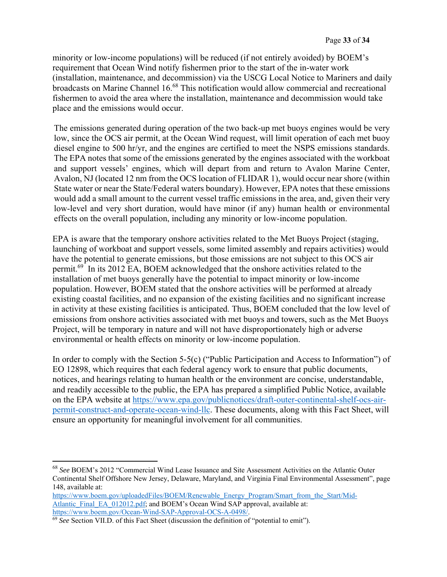minority or low-income populations) will be reduced (if not entirely avoided) by BOEM's requirement that Ocean Wind notify fishermen prior to the start of the in-water work (installation, maintenance, and decommission) via the USCG Local Notice to Mariners and daily broadcasts on Marine Channel 16.<sup>68</sup> This notification would allow commercial and recreational fishermen to avoid the area where the installation, maintenance and decommission would take place and the emissions would occur.

The emissions generated during operation of the two back-up met buoys engines would be very low, since the OCS air permit, at the Ocean Wind request, will limit operation of each met buoy diesel engine to 500 hr/yr, and the engines are certified to meet the NSPS emissions standards. The EPA notes that some of the emissions generated by the engines associated with the workboat and support vessels' engines, which will depart from and return to Avalon Marine Center, Avalon, NJ (located 12 nm from the OCS location of FLIDAR 1), would occur near shore (within State water or near the State/Federal waters boundary). However, EPA notes that these emissions would add a small amount to the current vessel traffic emissions in the area, and, given their very low-level and very short duration, would have minor (if any) human health or environmental effects on the overall population, including any minority or low-income population.

EPA is aware that the temporary onshore activities related to the Met Buoys Project (staging, launching of workboat and support vessels, some limited assembly and repairs activities) would have the potential to generate emissions, but those emissions are not subject to this OCS air permit.69 In its 2012 EA, BOEM acknowledged that the onshore activities related to the installation of met buoys generally have the potential to impact minority or low-income population. However, BOEM stated that the onshore activities will be performed at already existing coastal facilities, and no expansion of the existing facilities and no significant increase in activity at these existing facilities is anticipated. Thus, BOEM concluded that the low level of emissions from onshore activities associated with met buoys and towers, such as the Met Buoys Project, will be temporary in nature and will not have disproportionately high or adverse environmental or health effects on minority or low-income population.

In order to comply with the Section 5-5(c) ("Public Participation and Access to Information") of EO 12898, which requires that each federal agency work to ensure that public documents, notices, and hearings relating to human health or the environment are concise, understandable, and readily accessible to the public, the EPA has prepared a simplified Public Notice, available on the EPA website at https://www.epa.gov/publicnotices/draft-outer-continental-shelf-ocs-airpermit-construct-and-operate-ocean-wind-llc. These documents, along with this Fact Sheet, will ensure an opportunity for meaningful involvement for all communities.

<sup>68</sup> *See* BOEM's 2012 "Commercial Wind Lease Issuance and Site Assessment Activities on the Atlantic Outer Continental Shelf Offshore New Jersey, Delaware, Maryland, and Virginia Final Environmental Assessment", page 148, available at:

https://www.boem.gov/uploadedFiles/BOEM/Renewable\_Energy\_Program/Smart\_from\_the\_Start/Mid-Atlantic\_Final\_EA\_012012.pdf; and BOEM's Ocean Wind SAP approval, available at: https://www.boem.gov/Ocean-Wind-SAP-Approval-OCS-A-0498/.

<sup>&</sup>lt;sup>69</sup> See Section VII.D. of this Fact Sheet (discussion the definition of "potential to emit").